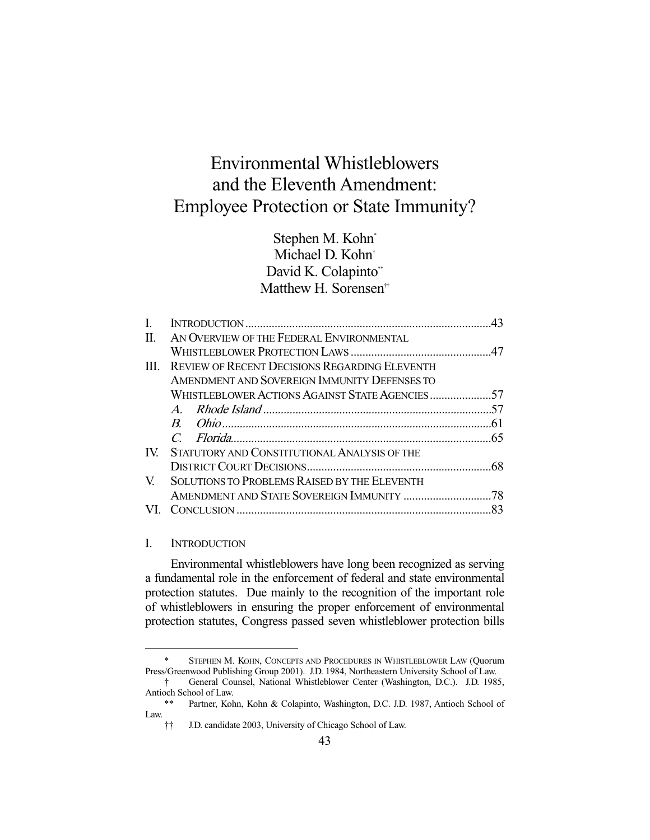# Environmental Whistleblowers and the Eleventh Amendment: Employee Protection or State Immunity?

Stephen M. Kohn\* Michael D. Kohn† David K. Colapinto\*\* Matthew H. Sorensen<sup>††</sup>

| L   |                                                      |    |
|-----|------------------------------------------------------|----|
| П.  | AN OVERVIEW OF THE FEDERAL ENVIRONMENTAL             |    |
|     |                                                      |    |
| Ш   | <b>REVIEW OF RECENT DECISIONS REGARDING ELEVENTH</b> |    |
|     | AMENDMENT AND SOVEREIGN IMMUNITY DEFENSES TO         |    |
|     | WHISTLEBLOWER ACTIONS AGAINST STATE AGENCIES57       |    |
|     |                                                      |    |
|     |                                                      |    |
|     |                                                      |    |
| IV. | STATUTORY AND CONSTITUTIONAL ANALYSIS OF THE         |    |
|     |                                                      |    |
| V   | <b>SOLUTIONS TO PROBLEMS RAISED BY THE ELEVENTH</b>  |    |
|     |                                                      |    |
|     |                                                      | 83 |

#### I. INTRODUCTION

-

 Environmental whistleblowers have long been recognized as serving a fundamental role in the enforcement of federal and state environmental protection statutes. Due mainly to the recognition of the important role of whistleblowers in ensuring the proper enforcement of environmental protection statutes, Congress passed seven whistleblower protection bills

 <sup>\*</sup> STEPHEN M. KOHN, CONCEPTS AND PROCEDURES IN WHISTLEBLOWER LAW (Quorum Press/Greenwood Publishing Group 2001). J.D. 1984, Northeastern University School of Law.

 <sup>†</sup> General Counsel, National Whistleblower Center (Washington, D.C.). J.D. 1985, Antioch School of Law.

Partner, Kohn, Kohn & Colapinto, Washington, D.C. J.D. 1987, Antioch School of Law.

 <sup>††</sup> J.D. candidate 2003, University of Chicago School of Law.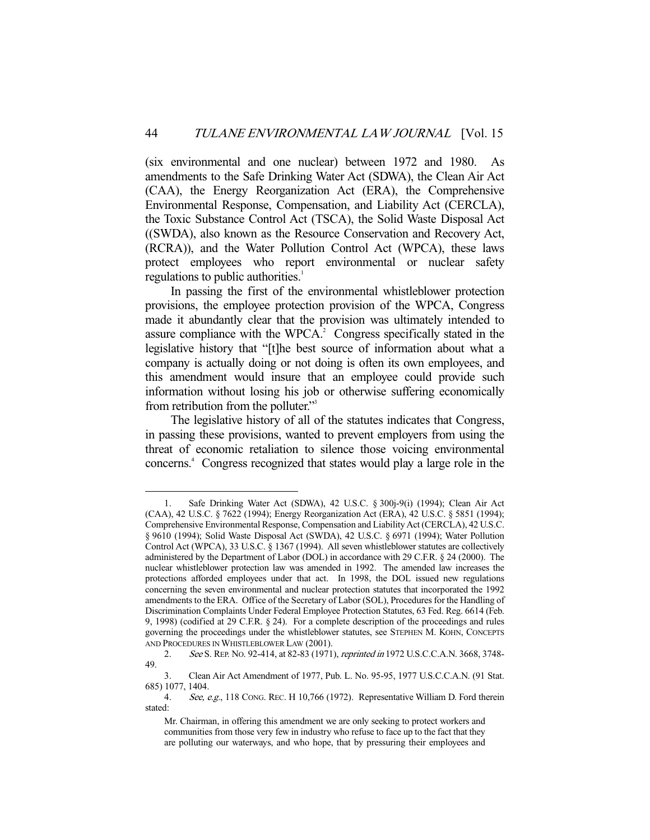(six environmental and one nuclear) between 1972 and 1980. As amendments to the Safe Drinking Water Act (SDWA), the Clean Air Act (CAA), the Energy Reorganization Act (ERA), the Comprehensive Environmental Response, Compensation, and Liability Act (CERCLA), the Toxic Substance Control Act (TSCA), the Solid Waste Disposal Act ((SWDA), also known as the Resource Conservation and Recovery Act, (RCRA)), and the Water Pollution Control Act (WPCA), these laws protect employees who report environmental or nuclear safety regulations to public authorities.<sup>1</sup>

 In passing the first of the environmental whistleblower protection provisions, the employee protection provision of the WPCA, Congress made it abundantly clear that the provision was ultimately intended to assure compliance with the WPCA.<sup>2</sup> Congress specifically stated in the legislative history that "[t]he best source of information about what a company is actually doing or not doing is often its own employees, and this amendment would insure that an employee could provide such information without losing his job or otherwise suffering economically from retribution from the polluter."3

 The legislative history of all of the statutes indicates that Congress, in passing these provisions, wanted to prevent employers from using the threat of economic retaliation to silence those voicing environmental concerns.4 Congress recognized that states would play a large role in the

 <sup>1.</sup> Safe Drinking Water Act (SDWA), 42 U.S.C. § 300j-9(i) (1994); Clean Air Act (CAA), 42 U.S.C. § 7622 (1994); Energy Reorganization Act (ERA), 42 U.S.C. § 5851 (1994); Comprehensive Environmental Response, Compensation and Liability Act (CERCLA), 42 U.S.C. § 9610 (1994); Solid Waste Disposal Act (SWDA), 42 U.S.C. § 6971 (1994); Water Pollution Control Act (WPCA), 33 U.S.C. § 1367 (1994). All seven whistleblower statutes are collectively administered by the Department of Labor (DOL) in accordance with 29 C.F.R. § 24 (2000). The nuclear whistleblower protection law was amended in 1992. The amended law increases the protections afforded employees under that act. In 1998, the DOL issued new regulations concerning the seven environmental and nuclear protection statutes that incorporated the 1992 amendments to the ERA. Office of the Secretary of Labor (SOL), Procedures for the Handling of Discrimination Complaints Under Federal Employee Protection Statutes, 63 Fed. Reg. 6614 (Feb. 9, 1998) (codified at 29 C.F.R. § 24). For a complete description of the proceedings and rules governing the proceedings under the whistleblower statutes, see STEPHEN M. KOHN, CONCEPTS AND PROCEDURES IN WHISTLEBLOWER LAW (2001).

 <sup>2.</sup> See S. REP. NO. 92-414, at 82-83 (1971), reprinted in 1972 U.S.C.C.A.N. 3668, 3748- 49.

 <sup>3.</sup> Clean Air Act Amendment of 1977, Pub. L. No. 95-95, 1977 U.S.C.C.A.N. (91 Stat. 685) 1077, 1404.

 <sup>4.</sup> See, e.g., 118 CONG. REC. H 10,766 (1972). Representative William D. Ford therein stated:

Mr. Chairman, in offering this amendment we are only seeking to protect workers and communities from those very few in industry who refuse to face up to the fact that they are polluting our waterways, and who hope, that by pressuring their employees and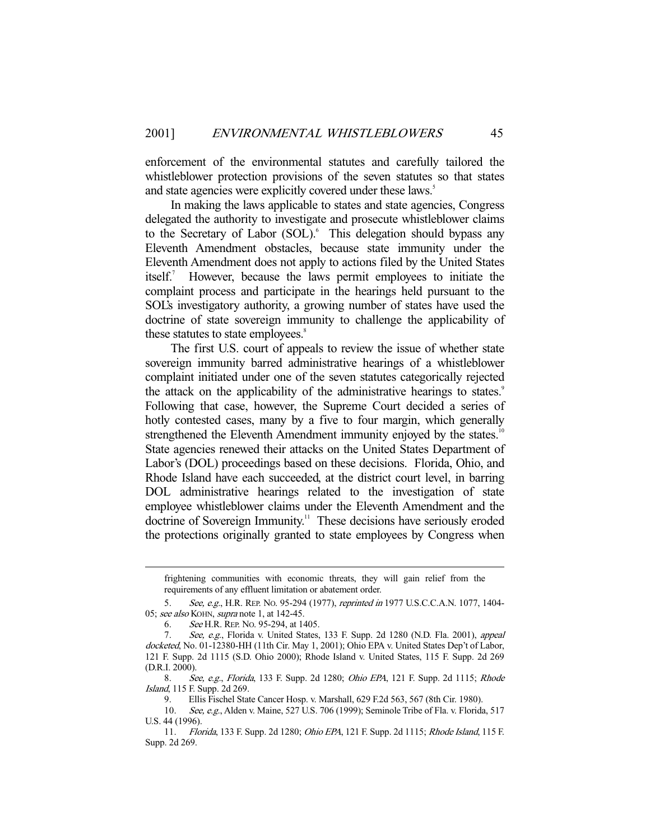enforcement of the environmental statutes and carefully tailored the whistleblower protection provisions of the seven statutes so that states and state agencies were explicitly covered under these laws.<sup>5</sup>

 In making the laws applicable to states and state agencies, Congress delegated the authority to investigate and prosecute whistleblower claims to the Secretary of Labor (SOL).<sup>6</sup> This delegation should bypass any Eleventh Amendment obstacles, because state immunity under the Eleventh Amendment does not apply to actions filed by the United States itself. $\overline{1}$  However, because the laws permit employees to initiate the complaint process and participate in the hearings held pursuant to the SOL's investigatory authority, a growing number of states have used the doctrine of state sovereign immunity to challenge the applicability of these statutes to state employees.<sup>8</sup>

 The first U.S. court of appeals to review the issue of whether state sovereign immunity barred administrative hearings of a whistleblower complaint initiated under one of the seven statutes categorically rejected the attack on the applicability of the administrative hearings to states.<sup>9</sup> Following that case, however, the Supreme Court decided a series of hotly contested cases, many by a five to four margin, which generally strengthened the Eleventh Amendment immunity enjoyed by the states.<sup>10</sup> State agencies renewed their attacks on the United States Department of Labor's (DOL) proceedings based on these decisions. Florida, Ohio, and Rhode Island have each succeeded, at the district court level, in barring DOL administrative hearings related to the investigation of state employee whistleblower claims under the Eleventh Amendment and the doctrine of Sovereign Immunity.<sup>11</sup> These decisions have seriously eroded the protections originally granted to state employees by Congress when

frightening communities with economic threats, they will gain relief from the requirements of any effluent limitation or abatement order.

 <sup>5.</sup> See, e.g., H.R. REP. NO. 95-294 (1977), reprinted in 1977 U.S.C.C.A.N. 1077, 1404- 05; see also KOHN, supra note 1, at 142-45.

 <sup>6.</sup> See H.R. REP. NO. 95-294, at 1405.

<sup>7.</sup> See, e.g., Florida v. United States, 133 F. Supp. 2d 1280 (N.D. Fla. 2001), appeal docketed, No. 01-12380-HH (11th Cir. May 1, 2001); Ohio EPA v. United States Dep't of Labor, 121 F. Supp. 2d 1115 (S.D. Ohio 2000); Rhode Island v. United States, 115 F. Supp. 2d 269 (D.R.I. 2000).

 <sup>8.</sup> See, e.g., Florida, 133 F. Supp. 2d 1280; Ohio EPA, 121 F. Supp. 2d 1115; Rhode Island, 115 F. Supp. 2d 269.

 <sup>9.</sup> Ellis Fischel State Cancer Hosp. v. Marshall, 629 F.2d 563, 567 (8th Cir. 1980).

<sup>10.</sup> See, e.g., Alden v. Maine, 527 U.S. 706 (1999); Seminole Tribe of Fla. v. Florida, 517 U.S. 44 (1996).

 <sup>11.</sup> Florida, 133 F. Supp. 2d 1280; Ohio EPA, 121 F. Supp. 2d 1115; Rhode Island, 115 F. Supp. 2d 269.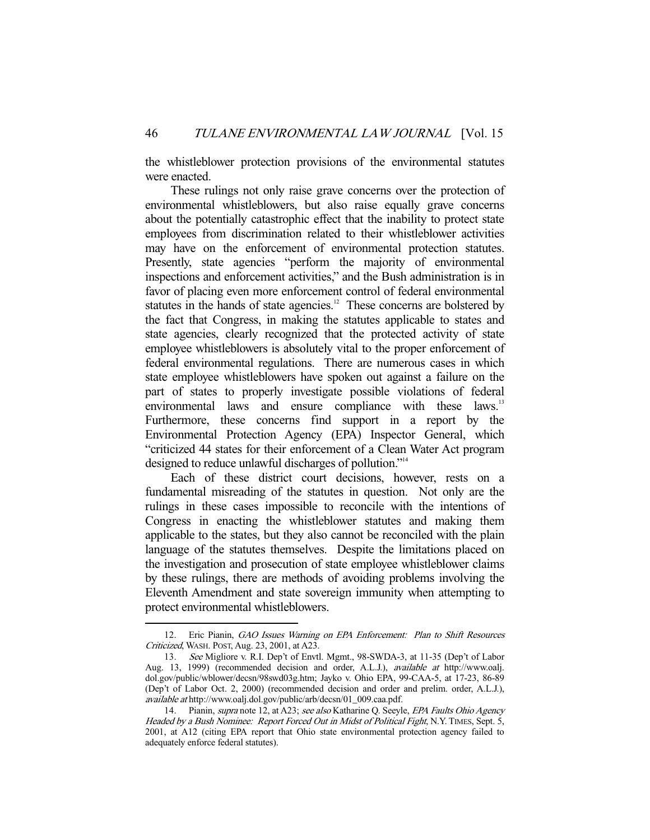the whistleblower protection provisions of the environmental statutes were enacted.

 These rulings not only raise grave concerns over the protection of environmental whistleblowers, but also raise equally grave concerns about the potentially catastrophic effect that the inability to protect state employees from discrimination related to their whistleblower activities may have on the enforcement of environmental protection statutes. Presently, state agencies "perform the majority of environmental inspections and enforcement activities," and the Bush administration is in favor of placing even more enforcement control of federal environmental statutes in the hands of state agencies.<sup>12</sup> These concerns are bolstered by the fact that Congress, in making the statutes applicable to states and state agencies, clearly recognized that the protected activity of state employee whistleblowers is absolutely vital to the proper enforcement of federal environmental regulations. There are numerous cases in which state employee whistleblowers have spoken out against a failure on the part of states to properly investigate possible violations of federal environmental laws and ensure compliance with these laws.<sup>13</sup> Furthermore, these concerns find support in a report by the Environmental Protection Agency (EPA) Inspector General, which "criticized 44 states for their enforcement of a Clean Water Act program designed to reduce unlawful discharges of pollution."14

 Each of these district court decisions, however, rests on a fundamental misreading of the statutes in question. Not only are the rulings in these cases impossible to reconcile with the intentions of Congress in enacting the whistleblower statutes and making them applicable to the states, but they also cannot be reconciled with the plain language of the statutes themselves. Despite the limitations placed on the investigation and prosecution of state employee whistleblower claims by these rulings, there are methods of avoiding problems involving the Eleventh Amendment and state sovereign immunity when attempting to protect environmental whistleblowers.

<sup>12.</sup> Eric Pianin, GAO Issues Warning on EPA Enforcement: Plan to Shift Resources Criticized, WASH. POST, Aug. 23, 2001, at A23.

 <sup>13.</sup> See Migliore v. R.I. Dep't of Envtl. Mgmt., 98-SWDA-3, at 11-35 (Dep't of Labor Aug. 13, 1999) (recommended decision and order, A.L.J.), available at http://www.oalj. dol.gov/public/wblower/decsn/98swd03g.htm; Jayko v. Ohio EPA, 99-CAA-5, at 17-23, 86-89 (Dep't of Labor Oct. 2, 2000) (recommended decision and order and prelim. order, A.L.J.), available at http://www.oalj.dol.gov/public/arb/decsn/01\_009.caa.pdf.

<sup>14.</sup> Pianin, supra note 12, at A23; see also Katharine Q. Seeyle, EPA Faults Ohio Agency Headed by a Bush Nominee: Report Forced Out in Midst of Political Fight, N.Y. TIMES, Sept. 5, 2001, at A12 (citing EPA report that Ohio state environmental protection agency failed to adequately enforce federal statutes).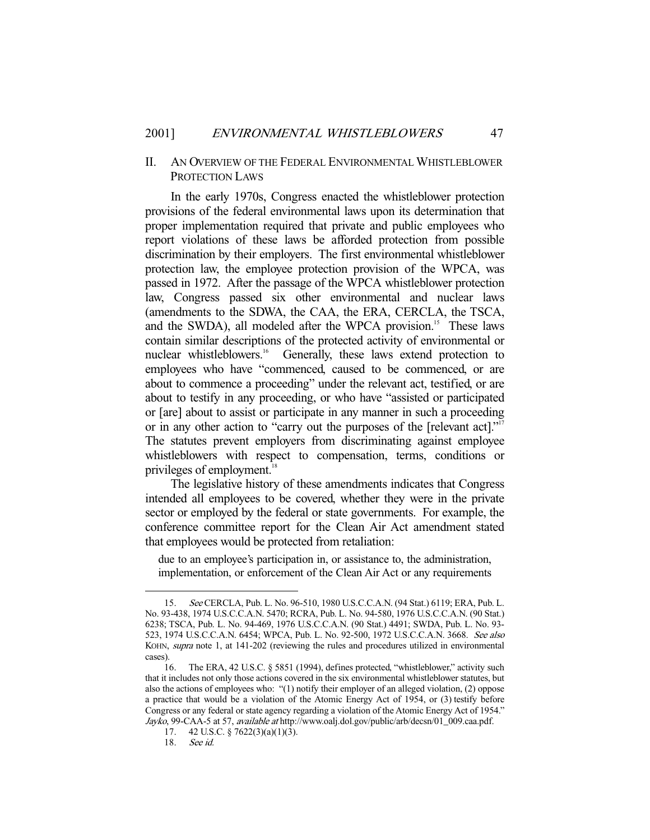### II. AN OVERVIEW OF THE FEDERAL ENVIRONMENTAL WHISTLEBLOWER PROTECTION LAWS

 In the early 1970s, Congress enacted the whistleblower protection provisions of the federal environmental laws upon its determination that proper implementation required that private and public employees who report violations of these laws be afforded protection from possible discrimination by their employers. The first environmental whistleblower protection law, the employee protection provision of the WPCA, was passed in 1972. After the passage of the WPCA whistleblower protection law, Congress passed six other environmental and nuclear laws (amendments to the SDWA, the CAA, the ERA, CERCLA, the TSCA, and the SWDA), all modeled after the WPCA provision.<sup>15</sup> These laws contain similar descriptions of the protected activity of environmental or nuclear whistleblowers.<sup>16</sup> Generally, these laws extend protection to employees who have "commenced, caused to be commenced, or are about to commence a proceeding" under the relevant act, testified, or are about to testify in any proceeding, or who have "assisted or participated or [are] about to assist or participate in any manner in such a proceeding or in any other action to "carry out the purposes of the [relevant act]."<sup>17</sup> The statutes prevent employers from discriminating against employee whistleblowers with respect to compensation, terms, conditions or privileges of employment.<sup>18</sup>

 The legislative history of these amendments indicates that Congress intended all employees to be covered, whether they were in the private sector or employed by the federal or state governments. For example, the conference committee report for the Clean Air Act amendment stated that employees would be protected from retaliation:

due to an employee's participation in, or assistance to, the administration, implementation, or enforcement of the Clean Air Act or any requirements

 <sup>15.</sup> See CERCLA, Pub. L. No. 96-510, 1980 U.S.C.C.A.N. (94 Stat.) 6119; ERA, Pub. L. No. 93-438, 1974 U.S.C.C.A.N. 5470; RCRA, Pub. L. No. 94-580, 1976 U.S.C.C.A.N. (90 Stat.) 6238; TSCA, Pub. L. No. 94-469, 1976 U.S.C.C.A.N. (90 Stat.) 4491; SWDA, Pub. L. No. 93- 523, 1974 U.S.C.C.A.N. 6454; WPCA, Pub. L. No. 92-500, 1972 U.S.C.C.A.N. 3668. See also KOHN, *supra* note 1, at 141-202 (reviewing the rules and procedures utilized in environmental cases).

 <sup>16.</sup> The ERA, 42 U.S.C. § 5851 (1994), defines protected, "whistleblower," activity such that it includes not only those actions covered in the six environmental whistleblower statutes, but also the actions of employees who: "(1) notify their employer of an alleged violation, (2) oppose a practice that would be a violation of the Atomic Energy Act of 1954, or (3) testify before Congress or any federal or state agency regarding a violation of the Atomic Energy Act of 1954." Jayko, 99-CAA-5 at 57, available at http://www.oalj.dol.gov/public/arb/decsn/01\_009.caa.pdf.

 <sup>17. 42</sup> U.S.C. § 7622(3)(a)(1)(3).

 <sup>18.</sup> See id.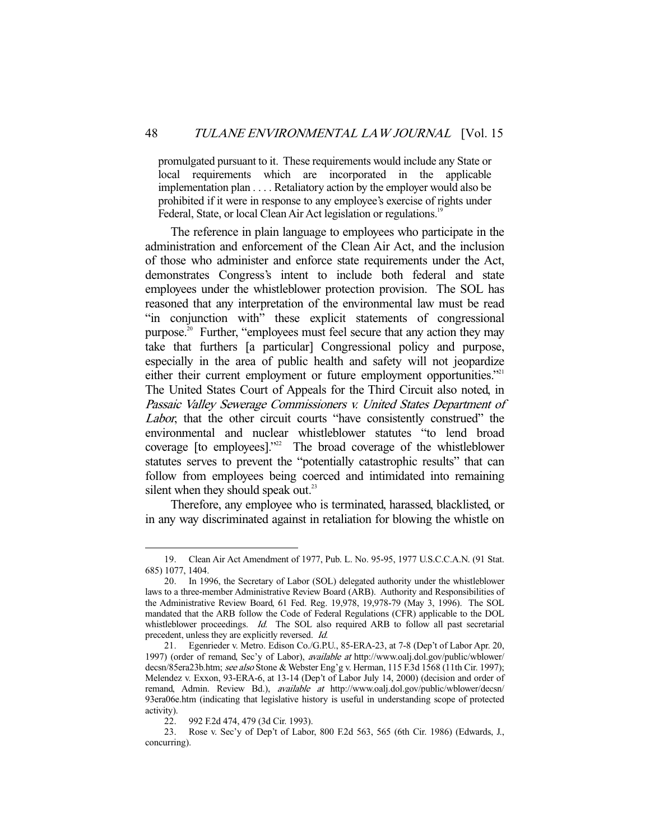promulgated pursuant to it. These requirements would include any State or local requirements which are incorporated in the applicable implementation plan . . . . Retaliatory action by the employer would also be prohibited if it were in response to any employee's exercise of rights under Federal, State, or local Clean Air Act legislation or regulations.<sup>19</sup>

 The reference in plain language to employees who participate in the administration and enforcement of the Clean Air Act, and the inclusion of those who administer and enforce state requirements under the Act, demonstrates Congress's intent to include both federal and state employees under the whistleblower protection provision. The SOL has reasoned that any interpretation of the environmental law must be read "in conjunction with" these explicit statements of congressional purpose.20 Further, "employees must feel secure that any action they may take that furthers [a particular] Congressional policy and purpose, especially in the area of public health and safety will not jeopardize either their current employment or future employment opportunities."<sup>21</sup> The United States Court of Appeals for the Third Circuit also noted, in Passaic Valley Sewerage Commissioners v. United States Department of Labor, that the other circuit courts "have consistently construed" the environmental and nuclear whistleblower statutes "to lend broad coverage [to employees]."<sup>22</sup> The broad coverage of the whistleblower statutes serves to prevent the "potentially catastrophic results" that can follow from employees being coerced and intimidated into remaining silent when they should speak out. $^{23}$ 

 Therefore, any employee who is terminated, harassed, blacklisted, or in any way discriminated against in retaliation for blowing the whistle on

 <sup>19.</sup> Clean Air Act Amendment of 1977, Pub. L. No. 95-95, 1977 U.S.C.C.A.N. (91 Stat. 685) 1077, 1404.

 <sup>20.</sup> In 1996, the Secretary of Labor (SOL) delegated authority under the whistleblower laws to a three-member Administrative Review Board (ARB). Authority and Responsibilities of the Administrative Review Board, 61 Fed. Reg. 19,978, 19,978-79 (May 3, 1996). The SOL mandated that the ARB follow the Code of Federal Regulations (CFR) applicable to the DOL whistleblower proceedings. Id. The SOL also required ARB to follow all past secretarial precedent, unless they are explicitly reversed. Id.

 <sup>21.</sup> Egenrieder v. Metro. Edison Co./G.P.U., 85-ERA-23, at 7-8 (Dep't of Labor Apr. 20, 1997) (order of remand, Sec'y of Labor), available at http://www.oalj.dol.gov/public/wblower/ decsn/85era23b.htm; see also Stone & Webster Eng'g v. Herman, 115 F.3d 1568 (11th Cir. 1997); Melendez v. Exxon, 93-ERA-6, at 13-14 (Dep't of Labor July 14, 2000) (decision and order of remand, Admin. Review Bd.), available at http://www.oalj.dol.gov/public/wblower/decsn/ 93era06e.htm (indicating that legislative history is useful in understanding scope of protected activity).

 <sup>22. 992</sup> F.2d 474, 479 (3d Cir. 1993).

 <sup>23.</sup> Rose v. Sec'y of Dep't of Labor, 800 F.2d 563, 565 (6th Cir. 1986) (Edwards, J., concurring).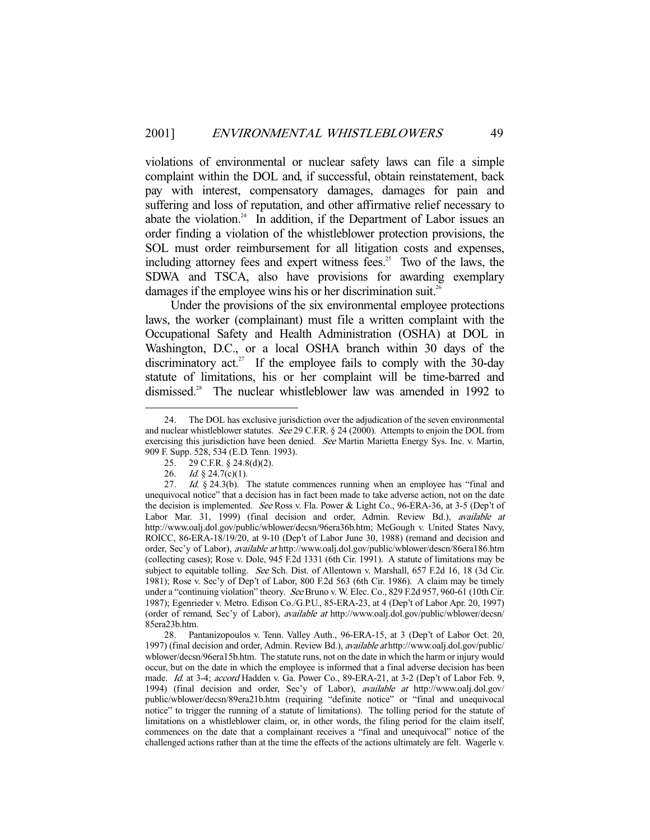violations of environmental or nuclear safety laws can file a simple complaint within the DOL and, if successful, obtain reinstatement, back pay with interest, compensatory damages, damages for pain and suffering and loss of reputation, and other affirmative relief necessary to abate the violation.<sup>24</sup> In addition, if the Department of Labor issues an order finding a violation of the whistleblower protection provisions, the SOL must order reimbursement for all litigation costs and expenses, including attorney fees and expert witness fees. $25$  Two of the laws, the SDWA and TSCA, also have provisions for awarding exemplary damages if the employee wins his or her discrimination suit.<sup>26</sup>

 Under the provisions of the six environmental employee protections laws, the worker (complainant) must file a written complaint with the Occupational Safety and Health Administration (OSHA) at DOL in Washington, D.C., or a local OSHA branch within 30 days of the discriminatory act.<sup>27</sup> If the employee fails to comply with the 30-day statute of limitations, his or her complaint will be time-barred and dismissed.<sup>28</sup> The nuclear whistleblower law was amended in 1992 to

 <sup>24.</sup> The DOL has exclusive jurisdiction over the adjudication of the seven environmental and nuclear whistleblower statutes. See 29 C.F.R. § 24 (2000). Attempts to enjoin the DOL from exercising this jurisdiction have been denied. See Martin Marietta Energy Sys. Inc. v. Martin, 909 F. Supp. 528, 534 (E.D. Tenn. 1993).

 <sup>25. 29</sup> C.F.R. § 24.8(d)(2).

<sup>26.</sup> *Id.* § 24.7(c)(1).

<sup>27.</sup> Id.  $\S$  24.3(b). The statute commences running when an employee has "final and unequivocal notice" that a decision has in fact been made to take adverse action, not on the date the decision is implemented. See Ross v. Fla. Power & Light Co., 96-ERA-36, at 3-5 (Dep't of Labor Mar. 31, 1999) (final decision and order, Admin. Review Bd.), available at http://www.oalj.dol.gov/public/wblower/decsn/96era36b.htm; McGough v. United States Navy, ROICC, 86-ERA-18/19/20, at 9-10 (Dep't of Labor June 30, 1988) (remand and decision and order, Sec'y of Labor), *available at* http://www.oalj.dol.gov/public/wblower/descn/86era186.htm (collecting cases); Rose v. Dole, 945 F.2d 1331 (6th Cir. 1991). A statute of limitations may be subject to equitable tolling. See Sch. Dist. of Allentown v. Marshall, 657 F.2d 16, 18 (3d Cir. 1981); Rose v. Sec'y of Dep't of Labor, 800 F.2d 563 (6th Cir. 1986). A claim may be timely under a "continuing violation" theory. See Bruno v. W. Elec. Co., 829 F.2d 957, 960-61 (10th Cir. 1987); Egenrieder v. Metro. Edison Co./G.P.U., 85-ERA-23, at 4 (Dep't of Labor Apr. 20, 1997) (order of remand, Sec'y of Labor), available at http://www.oalj.dol.gov/public/wblower/decsn/ 85era23b.htm.

 <sup>28.</sup> Pantanizopoulos v. Tenn. Valley Auth., 96-ERA-15, at 3 (Dep't of Labor Oct. 20, 1997) (final decision and order, Admin. Review Bd.), available at http://www.oalj.dol.gov/public/ wblower/decsn/96era15b.htm. The statute runs, not on the date in which the harm or injury would occur, but on the date in which the employee is informed that a final adverse decision has been made. Id. at 3-4; accord Hadden v. Ga. Power Co., 89-ERA-21, at 3-2 (Dep't of Labor Feb. 9, 1994) (final decision and order, Sec'y of Labor), available at http://www.oalj.dol.gov/ public/wblower/decsn/89era21b.htm (requiring "definite notice" or "final and unequivocal notice" to trigger the running of a statute of limitations). The tolling period for the statute of limitations on a whistleblower claim, or, in other words, the filing period for the claim itself, commences on the date that a complainant receives a "final and unequivocal" notice of the challenged actions rather than at the time the effects of the actions ultimately are felt. Wagerle v.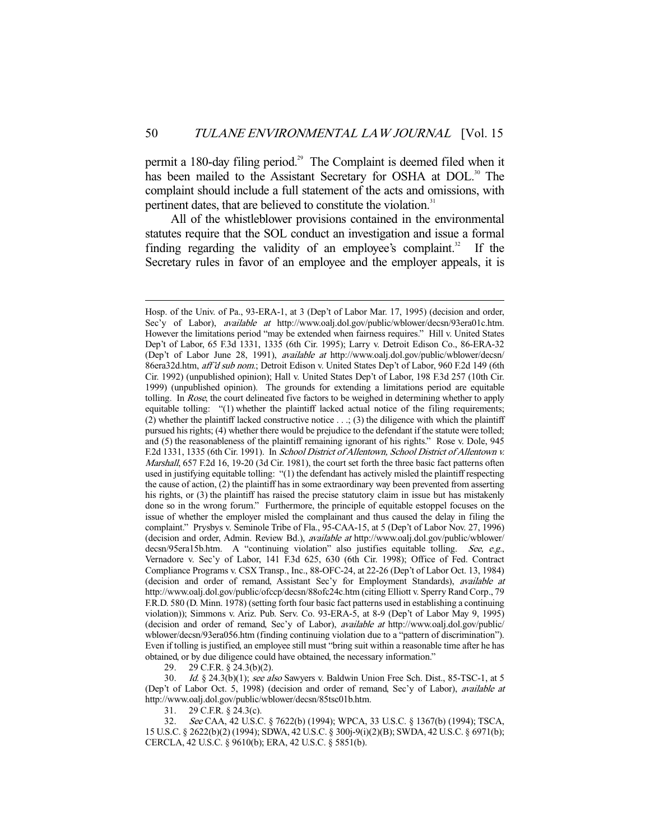permit a 180-day filing period.<sup>29</sup> The Complaint is deemed filed when it has been mailed to the Assistant Secretary for OSHA at DOL.<sup>30</sup> The complaint should include a full statement of the acts and omissions, with pertinent dates, that are believed to constitute the violation.<sup>31</sup>

 All of the whistleblower provisions contained in the environmental statutes require that the SOL conduct an investigation and issue a formal finding regarding the validity of an employee's complaint.<sup>32</sup> If the Secretary rules in favor of an employee and the employer appeals, it is

29 C.F.R.  $\S$  24.3(b)(2).

-

30. Id. § 24.3(b)(1); see also Sawyers v. Baldwin Union Free Sch. Dist., 85-TSC-1, at 5 (Dep't of Labor Oct. 5, 1998) (decision and order of remand, Sec'y of Labor), available at http://www.oalj.dol.gov/public/wblower/decsn/85tsc01b.htm.

31. 29 C.F.R. § 24.3(c).

 32. See CAA, 42 U.S.C. § 7622(b) (1994); WPCA, 33 U.S.C. § 1367(b) (1994); TSCA, 15 U.S.C. § 2622(b)(2) (1994); SDWA, 42 U.S.C. § 300j-9(i)(2)(B); SWDA, 42 U.S.C. § 6971(b); CERCLA, 42 U.S.C. § 9610(b); ERA, 42 U.S.C. § 5851(b).

Hosp. of the Univ. of Pa., 93-ERA-1, at 3 (Dep't of Labor Mar. 17, 1995) (decision and order, Sec'y of Labor), *available at* http://www.oalj.dol.gov/public/wblower/decsn/93era01c.htm. However the limitations period "may be extended when fairness requires." Hill v. United States Dep't of Labor, 65 F.3d 1331, 1335 (6th Cir. 1995); Larry v. Detroit Edison Co., 86-ERA-32 (Dep't of Labor June 28, 1991), available at http://www.oalj.dol.gov/public/wblower/decsn/ 86era32d.htm, aff'd sub nom.; Detroit Edison v. United States Dep't of Labor, 960 F.2d 149 (6th Cir. 1992) (unpublished opinion); Hall v. United States Dep't of Labor, 198 F.3d 257 (10th Cir. 1999) (unpublished opinion). The grounds for extending a limitations period are equitable tolling. In Rose, the court delineated five factors to be weighed in determining whether to apply equitable tolling: "(1) whether the plaintiff lacked actual notice of the filing requirements; (2) whether the plaintiff lacked constructive notice  $\dots$ ; (3) the diligence with which the plaintiff pursued his rights; (4) whether there would be prejudice to the defendant if the statute were tolled; and (5) the reasonableness of the plaintiff remaining ignorant of his rights." Rose v. Dole, 945 F.2d 1331, 1335 (6th Cir. 1991). In School District of Allentown, School District of Allentown v. Marshall, 657 F.2d 16, 19-20 (3d Cir. 1981), the court set forth the three basic fact patterns often used in justifying equitable tolling: "(1) the defendant has actively misled the plaintiff respecting the cause of action, (2) the plaintiff has in some extraordinary way been prevented from asserting his rights, or (3) the plaintiff has raised the precise statutory claim in issue but has mistakenly done so in the wrong forum." Furthermore, the principle of equitable estoppel focuses on the issue of whether the employer misled the complainant and thus caused the delay in filing the complaint." Prysbys v. Seminole Tribe of Fla., 95-CAA-15, at 5 (Dep't of Labor Nov. 27, 1996) (decision and order, Admin. Review Bd.), available at http://www.oalj.dol.gov/public/wblower/ decsn/95era15b.htm. A "continuing violation" also justifies equitable tolling. See, e.g., Vernadore v. Sec'y of Labor, 141 F.3d 625, 630 (6th Cir. 1998); Office of Fed. Contract Compliance Programs v. CSX Transp., Inc., 88-OFC-24, at 22-26 (Dep't of Labor Oct. 13, 1984) (decision and order of remand, Assistant Sec'y for Employment Standards), available at http://www.oalj.dol.gov/public/ofccp/decsn/88ofc24c.htm (citing Elliott v. Sperry Rand Corp., 79 F.R.D. 580 (D. Minn. 1978) (setting forth four basic fact patterns used in establishing a continuing violation)); Simmons v. Ariz. Pub. Serv. Co. 93-ERA-5, at 8-9 (Dep't of Labor May 9, 1995) (decision and order of remand, Sec'y of Labor), available at http://www.oalj.dol.gov/public/ wblower/decsn/93era056.htm (finding continuing violation due to a "pattern of discrimination"). Even if tolling is justified, an employee still must "bring suit within a reasonable time after he has obtained, or by due diligence could have obtained, the necessary information."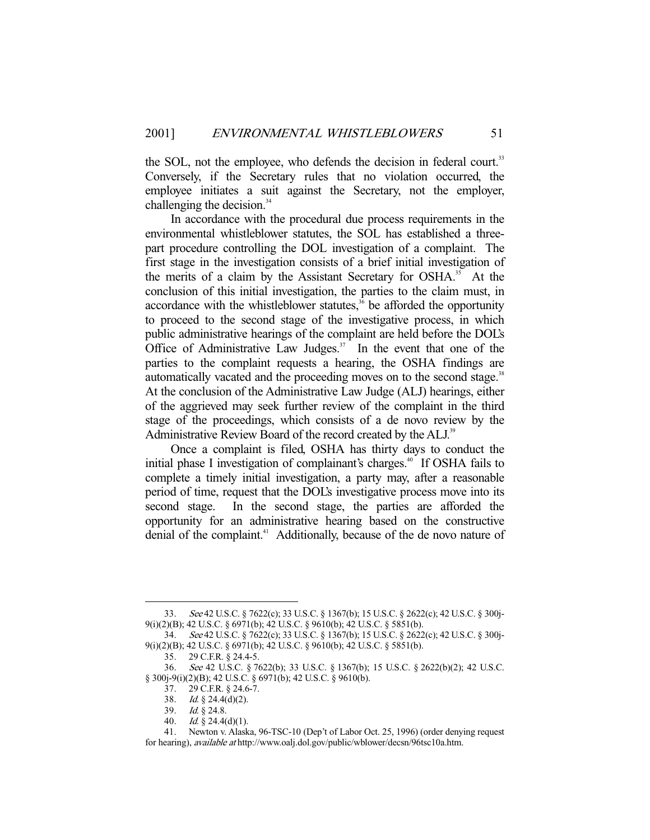the SOL, not the employee, who defends the decision in federal court.<sup>33</sup> Conversely, if the Secretary rules that no violation occurred, the employee initiates a suit against the Secretary, not the employer, challenging the decision.<sup>34</sup>

 In accordance with the procedural due process requirements in the environmental whistleblower statutes, the SOL has established a threepart procedure controlling the DOL investigation of a complaint. The first stage in the investigation consists of a brief initial investigation of the merits of a claim by the Assistant Secretary for OSHA.<sup>35</sup> At the conclusion of this initial investigation, the parties to the claim must, in accordance with the whistleblower statutes,<sup>36</sup> be afforded the opportunity to proceed to the second stage of the investigative process, in which public administrative hearings of the complaint are held before the DOL's Office of Administrative Law Judges. $37$  In the event that one of the parties to the complaint requests a hearing, the OSHA findings are automatically vacated and the proceeding moves on to the second stage.<sup>38</sup> At the conclusion of the Administrative Law Judge (ALJ) hearings, either of the aggrieved may seek further review of the complaint in the third stage of the proceedings, which consists of a de novo review by the Administrative Review Board of the record created by the ALJ.<sup>39</sup>

 Once a complaint is filed, OSHA has thirty days to conduct the initial phase I investigation of complainant's charges.<sup>40</sup> If OSHA fails to complete a timely initial investigation, a party may, after a reasonable period of time, request that the DOL's investigative process move into its second stage. In the second stage, the parties are afforded the opportunity for an administrative hearing based on the constructive denial of the complaint.<sup>41</sup> Additionally, because of the de novo nature of

 <sup>33.</sup> See 42 U.S.C. § 7622(c); 33 U.S.C. § 1367(b); 15 U.S.C. § 2622(c); 42 U.S.C. § 300j-9(i)(2)(B); 42 U.S.C. § 6971(b); 42 U.S.C. § 9610(b); 42 U.S.C. § 5851(b).

 <sup>34.</sup> See 42 U.S.C. § 7622(c); 33 U.S.C. § 1367(b); 15 U.S.C. § 2622(c); 42 U.S.C. § 300j-9(i)(2)(B); 42 U.S.C. § 6971(b); 42 U.S.C. § 9610(b); 42 U.S.C. § 5851(b).

 <sup>35. 29</sup> C.F.R. § 24.4-5.

 <sup>36.</sup> See 42 U.S.C. § 7622(b); 33 U.S.C. § 1367(b); 15 U.S.C. § 2622(b)(2); 42 U.S.C. § 300j-9(i)(2)(B); 42 U.S.C. § 6971(b); 42 U.S.C. § 9610(b).

 <sup>37. 29</sup> C.F.R. § 24.6-7.

<sup>38.</sup> *Id.*  $\S$  24.4(d)(2).

<sup>39.</sup> *Id.*  $\frac{8}{9}$  24.8.

 <sup>40.</sup> Id. § 24.4(d)(1).

 <sup>41.</sup> Newton v. Alaska, 96-TSC-10 (Dep't of Labor Oct. 25, 1996) (order denying request for hearing), available at http://www.oalj.dol.gov/public/wblower/decsn/96tsc10a.htm.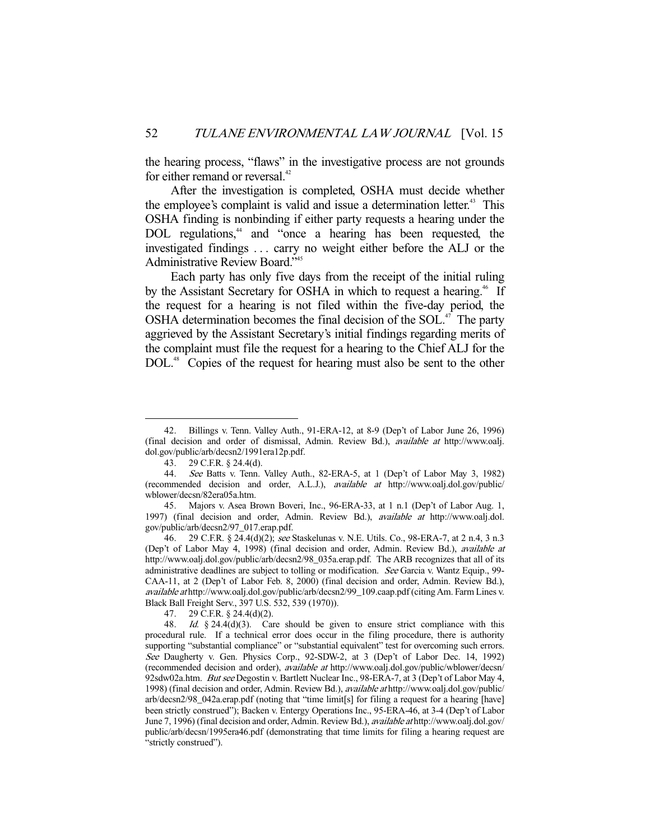the hearing process, "flaws" in the investigative process are not grounds for either remand or reversal.<sup>42</sup>

 After the investigation is completed, OSHA must decide whether the employee's complaint is valid and issue a determination letter.<sup>43</sup> This OSHA finding is nonbinding if either party requests a hearing under the DOL regulations,<sup>44</sup> and "once a hearing has been requested, the investigated findings . . . carry no weight either before the ALJ or the Administrative Review Board."45

 Each party has only five days from the receipt of the initial ruling by the Assistant Secretary for OSHA in which to request a hearing.<sup>46</sup> If the request for a hearing is not filed within the five-day period, the OSHA determination becomes the final decision of the SOL. $47$  The party aggrieved by the Assistant Secretary's initial findings regarding merits of the complaint must file the request for a hearing to the Chief ALJ for the DOL<sup>48</sup> Copies of the request for hearing must also be sent to the other

 <sup>42.</sup> Billings v. Tenn. Valley Auth., 91-ERA-12, at 8-9 (Dep't of Labor June 26, 1996) (final decision and order of dismissal, Admin. Review Bd.), available at http://www.oalj. dol.gov/public/arb/decsn2/1991era12p.pdf.

 <sup>43. 29</sup> C.F.R. § 24.4(d).

 <sup>44.</sup> See Batts v. Tenn. Valley Auth., 82-ERA-5, at 1 (Dep't of Labor May 3, 1982) (recommended decision and order, A.L.J.), available at http://www.oalj.dol.gov/public/ wblower/decsn/82era05a.htm.

 <sup>45.</sup> Majors v. Asea Brown Boveri, Inc., 96-ERA-33, at 1 n.1 (Dep't of Labor Aug. 1, 1997) (final decision and order, Admin. Review Bd.), available at http://www.oalj.dol. gov/public/arb/decsn2/97\_017.erap.pdf.

<sup>46. 29</sup> C.F.R. § 24.4(d)(2); see Staskelunas v. N.E. Utils. Co., 98-ERA-7, at 2 n.4, 3 n.3 (Dep't of Labor May 4, 1998) (final decision and order, Admin. Review Bd.), available at http://www.oalj.dol.gov/public/arb/decsn2/98\_035a.erap.pdf. The ARB recognizes that all of its administrative deadlines are subject to tolling or modification. See Garcia v. Wantz Equip., 99-CAA-11, at 2 (Dep't of Labor Feb. 8, 2000) (final decision and order, Admin. Review Bd.), available at http://www.oalj.dol.gov/public/arb/decsn2/99\_109.caap.pdf (citing Am. Farm Lines v. Black Ball Freight Serv., 397 U.S. 532, 539 (1970)).

 <sup>47. 29</sup> C.F.R. § 24.4(d)(2).

<sup>48.</sup> Id.  $§ 24.4(d)(3)$ . Care should be given to ensure strict compliance with this procedural rule. If a technical error does occur in the filing procedure, there is authority supporting "substantial compliance" or "substantial equivalent" test for overcoming such errors. See Daugherty v. Gen. Physics Corp., 92-SDW-2, at 3 (Dep't of Labor Dec. 14, 1992) (recommended decision and order), available at http://www.oalj.dol.gov/public/wblower/decsn/ 92sdw02a.htm. But see Degostin v. Bartlett Nuclear Inc., 98-ERA-7, at 3 (Dep't of Labor May 4, 1998) (final decision and order, Admin. Review Bd.), available at http://www.oalj.dol.gov/public/ arb/decsn2/98\_042a.erap.pdf (noting that "time limit[s] for filing a request for a hearing [have] been strictly construed"); Backen v. Entergy Operations Inc., 95-ERA-46, at 3-4 (Dep't of Labor June 7, 1996) (final decision and order, Admin. Review Bd.), available at http://www.oalj.dol.gov/ public/arb/decsn/1995era46.pdf (demonstrating that time limits for filing a hearing request are "strictly construed").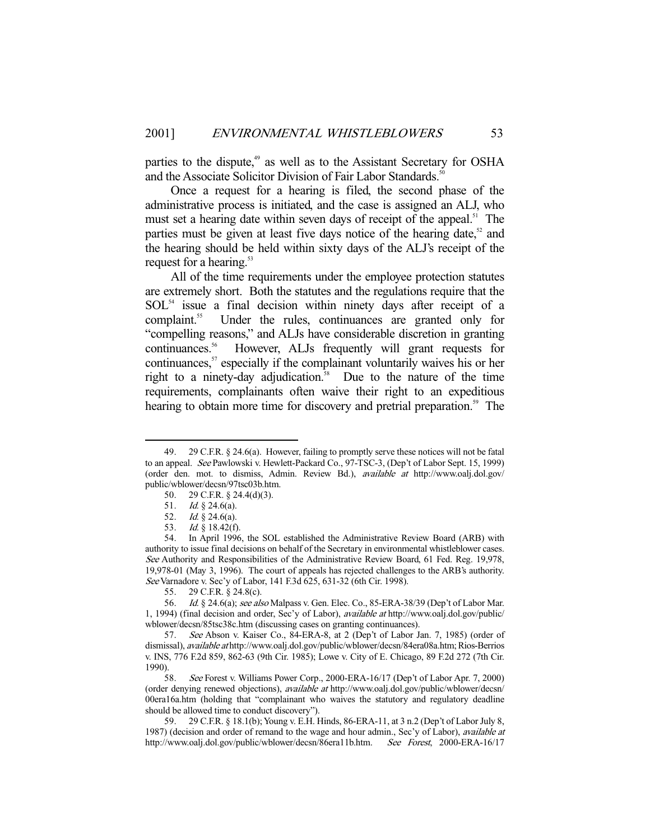parties to the dispute,<sup>49</sup> as well as to the Assistant Secretary for OSHA and the Associate Solicitor Division of Fair Labor Standards.<sup>5</sup>

 Once a request for a hearing is filed, the second phase of the administrative process is initiated, and the case is assigned an ALJ, who must set a hearing date within seven days of receipt of the appeal.<sup>51</sup> The parties must be given at least five days notice of the hearing date, $52$  and the hearing should be held within sixty days of the ALJ's receipt of the request for a hearing.<sup>53</sup>

 All of the time requirements under the employee protection statutes are extremely short. Both the statutes and the regulations require that the  $SOL<sup>54</sup>$  issue a final decision within ninety days after receipt of a complaint.<sup>55</sup> Under the rules, continuances are granted only for "compelling reasons," and ALJs have considerable discretion in granting continuances.56 However, ALJs frequently will grant requests for continuances,<sup>57</sup> especially if the complainant voluntarily waives his or her right to a ninety-day adjudication.<sup>58</sup> Due to the nature of the time requirements, complainants often waive their right to an expeditious hearing to obtain more time for discovery and pretrial preparation.<sup>59</sup> The

 <sup>49. 29</sup> C.F.R. § 24.6(a). However, failing to promptly serve these notices will not be fatal to an appeal. See Pawlowski v. Hewlett-Packard Co., 97-TSC-3, (Dep't of Labor Sept. 15, 1999) (order den. mot. to dismiss, Admin. Review Bd.), available at http://www.oalj.dol.gov/ public/wblower/decsn/97tsc03b.htm.

 <sup>50. 29</sup> C.F.R. § 24.4(d)(3).

 <sup>51.</sup> Id. § 24.6(a).

 <sup>52.</sup> Id. § 24.6(a).

 <sup>53.</sup> Id. § 18.42(f).

 <sup>54.</sup> In April 1996, the SOL established the Administrative Review Board (ARB) with authority to issue final decisions on behalf of the Secretary in environmental whistleblower cases. See Authority and Responsibilities of the Administrative Review Board, 61 Fed. Reg. 19,978, 19,978-01 (May 3, 1996). The court of appeals has rejected challenges to the ARB's authority. See Varnadore v. Sec'y of Labor, 141 F.3d 625, 631-32 (6th Cir. 1998).

 <sup>55. 29</sup> C.F.R. § 24.8(c).

 <sup>56.</sup> Id. § 24.6(a); see also Malpass v. Gen. Elec. Co., 85-ERA-38/39 (Dep't of Labor Mar. 1, 1994) (final decision and order, Sec'y of Labor), available at http://www.oalj.dol.gov/public/ wblower/decsn/85tsc38c.htm (discussing cases on granting continuances).

 <sup>57.</sup> See Abson v. Kaiser Co., 84-ERA-8, at 2 (Dep't of Labor Jan. 7, 1985) (order of dismissal), available at http://www.oalj.dol.gov/public/wblower/decsn/84era08a.htm; Rios-Berrios v. INS, 776 F.2d 859, 862-63 (9th Cir. 1985); Lowe v. City of E. Chicago, 89 F.2d 272 (7th Cir. 1990).

 <sup>58.</sup> See Forest v. Williams Power Corp., 2000-ERA-16/17 (Dep't of Labor Apr. 7, 2000) (order denying renewed objections), available at http://www.oalj.dol.gov/public/wblower/decsn/ 00era16a.htm (holding that "complainant who waives the statutory and regulatory deadline should be allowed time to conduct discovery").

 <sup>59. 29</sup> C.F.R. § 18.1(b); Young v. E.H. Hinds, 86-ERA-11, at 3 n.2 (Dep't of Labor July 8, 1987) (decision and order of remand to the wage and hour admin., Sec'y of Labor), *available at* http://www.oalj.dol.gov/public/wblower/decsn/86era11b.htm. See Forest, 2000-ERA-16/17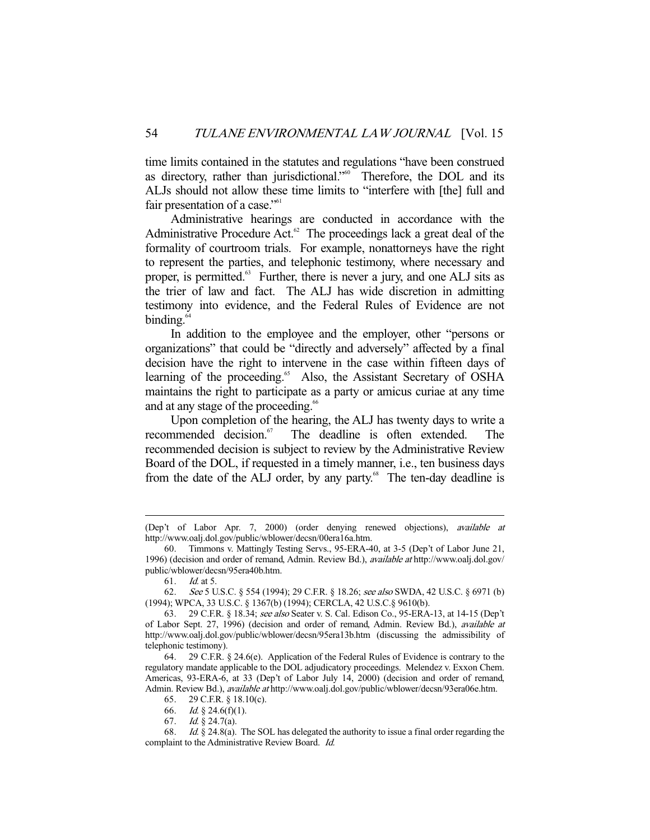time limits contained in the statutes and regulations "have been construed as directory, rather than jurisdictional."<sup>60</sup> Therefore, the DOL and its ALJs should not allow these time limits to "interfere with [the] full and fair presentation of a case." $61$ 

 Administrative hearings are conducted in accordance with the Administrative Procedure Act. $62$  The proceedings lack a great deal of the formality of courtroom trials. For example, nonattorneys have the right to represent the parties, and telephonic testimony, where necessary and proper, is permitted.<sup>63</sup> Further, there is never a jury, and one ALJ sits as the trier of law and fact. The ALJ has wide discretion in admitting testimony into evidence, and the Federal Rules of Evidence are not binding.<sup>64</sup>

 In addition to the employee and the employer, other "persons or organizations" that could be "directly and adversely" affected by a final decision have the right to intervene in the case within fifteen days of learning of the proceeding.<sup>65</sup> Also, the Assistant Secretary of OSHA maintains the right to participate as a party or amicus curiae at any time and at any stage of the proceeding.<sup>66</sup>

 Upon completion of the hearing, the ALJ has twenty days to write a recommended decision.<sup>67</sup> The deadline is often extended. The recommended decision is subject to review by the Administrative Review Board of the DOL, if requested in a timely manner, i.e., ten business days from the date of the ALJ order, by any party.<sup>68</sup> The ten-day deadline is

<sup>(</sup>Dep't of Labor Apr. 7, 2000) (order denying renewed objections), available at http://www.oalj.dol.gov/public/wblower/decsn/00era16a.htm.

 <sup>60.</sup> Timmons v. Mattingly Testing Servs., 95-ERA-40, at 3-5 (Dep't of Labor June 21, 1996) (decision and order of remand, Admin. Review Bd.), *available at* http://www.oalj.dol.gov/ public/wblower/decsn/95era40b.htm.

 <sup>61.</sup> Id. at 5.

 <sup>62.</sup> See 5 U.S.C. § 554 (1994); 29 C.F.R. § 18.26; see also SWDA, 42 U.S.C. § 6971 (b) (1994); WPCA, 33 U.S.C. § 1367(b) (1994); CERCLA, 42 U.S.C.§ 9610(b).

 <sup>63. 29</sup> C.F.R. § 18.34; see also Seater v. S. Cal. Edison Co., 95-ERA-13, at 14-15 (Dep't of Labor Sept. 27, 1996) (decision and order of remand, Admin. Review Bd.), available at http://www.oalj.dol.gov/public/wblower/decsn/95era13b.htm (discussing the admissibility of telephonic testimony).

 <sup>64. 29</sup> C.F.R. § 24.6(e). Application of the Federal Rules of Evidence is contrary to the regulatory mandate applicable to the DOL adjudicatory proceedings. Melendez v. Exxon Chem. Americas, 93-ERA-6, at 33 (Dep't of Labor July 14, 2000) (decision and order of remand, Admin. Review Bd.), available at http://www.oalj.dol.gov/public/wblower/decsn/93era06e.htm.

 <sup>65. 29</sup> C.F.R. § 18.10(c).

 <sup>66.</sup> Id. § 24.6(f)(1).

 <sup>67.</sup> Id. § 24.7(a).

 <sup>68.</sup> Id. § 24.8(a). The SOL has delegated the authority to issue a final order regarding the complaint to the Administrative Review Board. Id.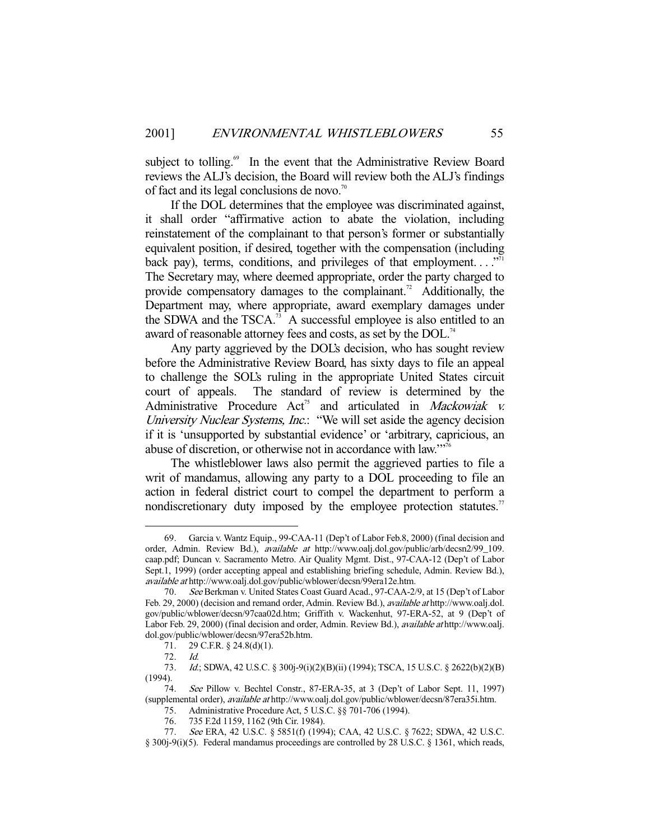subject to tolling.<sup>69</sup> In the event that the Administrative Review Board reviews the ALJ's decision, the Board will review both the ALJ's findings of fact and its legal conclusions de novo.<sup>70</sup>

 If the DOL determines that the employee was discriminated against, it shall order "affirmative action to abate the violation, including reinstatement of the complainant to that person's former or substantially equivalent position, if desired, together with the compensation (including back pay), terms, conditions, and privileges of that employment... $\cdot$ <sup>71</sup> The Secretary may, where deemed appropriate, order the party charged to provide compensatory damages to the complainant.<sup>72</sup> Additionally, the Department may, where appropriate, award exemplary damages under the SDWA and the TSCA.<sup>73</sup> A successful employee is also entitled to an award of reasonable attorney fees and costs, as set by the DOL.<sup>74</sup>

 Any party aggrieved by the DOL's decision, who has sought review before the Administrative Review Board, has sixty days to file an appeal to challenge the SOL's ruling in the appropriate United States circuit court of appeals. The standard of review is determined by the Administrative Procedure  $Act^{75}$  and articulated in *Mackowiak v.* University Nuclear Systems, Inc.: "We will set aside the agency decision if it is 'unsupported by substantial evidence' or 'arbitrary, capricious, an abuse of discretion, or otherwise not in accordance with law."<sup>776</sup>

 The whistleblower laws also permit the aggrieved parties to file a writ of mandamus, allowing any party to a DOL proceeding to file an action in federal district court to compel the department to perform a nondiscretionary duty imposed by the employee protection statutes.<sup>77</sup>

 <sup>69.</sup> Garcia v. Wantz Equip., 99-CAA-11 (Dep't of Labor Feb.8, 2000) (final decision and order, Admin. Review Bd.), available at http://www.oalj.dol.gov/public/arb/decsn2/99\_109. caap.pdf; Duncan v. Sacramento Metro. Air Quality Mgmt. Dist., 97-CAA-12 (Dep't of Labor Sept.1, 1999) (order accepting appeal and establishing briefing schedule, Admin. Review Bd.), available at http://www.oalj.dol.gov/public/wblower/decsn/99era12e.htm.

 <sup>70.</sup> See Berkman v. United States Coast Guard Acad., 97-CAA-2/9, at 15 (Dep't of Labor Feb. 29, 2000) (decision and remand order, Admin. Review Bd.), available at http://www.oalj.dol. gov/public/wblower/decsn/97caa02d.htm; Griffith v. Wackenhut, 97-ERA-52, at 9 (Dep't of Labor Feb. 29, 2000) (final decision and order, Admin. Review Bd.), available at http://www.oalj. dol.gov/public/wblower/decsn/97era52b.htm.

 <sup>71. 29</sup> C.F.R. § 24.8(d)(1).

 <sup>72.</sup> Id.

 <sup>73.</sup> Id.; SDWA, 42 U.S.C. § 300j-9(i)(2)(B)(ii) (1994); TSCA, 15 U.S.C. § 2622(b)(2)(B) (1994).

 <sup>74.</sup> See Pillow v. Bechtel Constr., 87-ERA-35, at 3 (Dep't of Labor Sept. 11, 1997) (supplemental order), available at http://www.oalj.dol.gov/public/wblower/decsn/87era35i.htm. 75. Administrative Procedure Act, 5 U.S.C. §§ 701-706 (1994).

 <sup>76. 735</sup> F.2d 1159, 1162 (9th Cir. 1984).

 <sup>77.</sup> See ERA, 42 U.S.C. § 5851(f) (1994); CAA, 42 U.S.C. § 7622; SDWA, 42 U.S.C.

<sup>§ 300</sup>j-9(i)(5). Federal mandamus proceedings are controlled by 28 U.S.C. § 1361, which reads,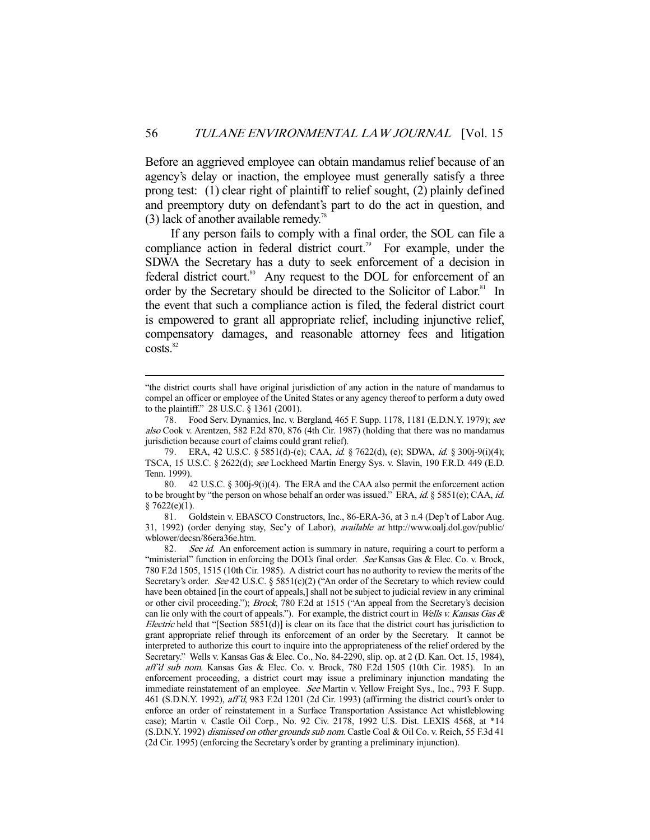Before an aggrieved employee can obtain mandamus relief because of an agency's delay or inaction, the employee must generally satisfy a three prong test: (1) clear right of plaintiff to relief sought, (2) plainly defined and preemptory duty on defendant's part to do the act in question, and (3) lack of another available remedy.<sup>78</sup>

 If any person fails to comply with a final order, the SOL can file a compliance action in federal district court.<sup>79</sup> For example, under the SDWA the Secretary has a duty to seek enforcement of a decision in federal district court.<sup>80</sup> Any request to the DOL for enforcement of an order by the Secretary should be directed to the Solicitor of Labor.<sup>81</sup> In the event that such a compliance action is filed, the federal district court is empowered to grant all appropriate relief, including injunctive relief, compensatory damages, and reasonable attorney fees and litigation  $costs.<sup>82</sup>$ 

<sup>&</sup>quot;the district courts shall have original jurisdiction of any action in the nature of mandamus to compel an officer or employee of the United States or any agency thereof to perform a duty owed to the plaintiff." 28 U.S.C. § 1361 (2001).

<sup>78.</sup> Food Serv. Dynamics, Inc. v. Bergland, 465 F. Supp. 1178, 1181 (E.D.N.Y. 1979); see also Cook v. Arentzen, 582 F.2d 870, 876 (4th Cir. 1987) (holding that there was no mandamus jurisdiction because court of claims could grant relief).

 <sup>79.</sup> ERA, 42 U.S.C. § 5851(d)-(e); CAA, id. § 7622(d), (e); SDWA, id. § 300j-9(i)(4); TSCA, 15 U.S.C. § 2622(d); see Lockheed Martin Energy Sys. v. Slavin, 190 F.R.D. 449 (E.D. Tenn. 1999).

 <sup>80. 42</sup> U.S.C. § 300j-9(i)(4). The ERA and the CAA also permit the enforcement action to be brought by "the person on whose behalf an order was issued." ERA,  $id$ . § 5851(e); CAA,  $id$ .  $§ 7622(e)(1).$ 

 <sup>81.</sup> Goldstein v. EBASCO Constructors, Inc., 86-ERA-36, at 3 n.4 (Dep't of Labor Aug. 31, 1992) (order denying stay, Sec'y of Labor), available at http://www.oalj.dol.gov/public/ wblower/decsn/86era36e.htm.

<sup>82.</sup> See id. An enforcement action is summary in nature, requiring a court to perform a "ministerial" function in enforcing the DOL's final order. See Kansas Gas & Elec. Co. v. Brock, 780 F.2d 1505, 1515 (10th Cir. 1985). A district court has no authority to review the merits of the Secretary's order. See 42 U.S.C. § 5851(c)(2) ("An order of the Secretary to which review could have been obtained [in the court of appeals,] shall not be subject to judicial review in any criminal or other civil proceeding."); Brock, 780 F.2d at 1515 ("An appeal from the Secretary's decision can lie only with the court of appeals."). For example, the district court in Wells v. Kansas Gas  $\&$ *Electric* held that "[Section 5851(d)] is clear on its face that the district court has jurisdiction to grant appropriate relief through its enforcement of an order by the Secretary. It cannot be interpreted to authorize this court to inquire into the appropriateness of the relief ordered by the Secretary." Wells v. Kansas Gas & Elec. Co., No. 84-2290, slip. op. at 2 (D. Kan. Oct. 15, 1984), aff'd sub nom. Kansas Gas & Elec. Co. v. Brock, 780 F.2d 1505 (10th Cir. 1985). In an enforcement proceeding, a district court may issue a preliminary injunction mandating the immediate reinstatement of an employee. See Martin v. Yellow Freight Sys., Inc., 793 F. Supp. 461 (S.D.N.Y. 1992), aff'd, 983 F.2d 1201 (2d Cir. 1993) (affirming the district court's order to enforce an order of reinstatement in a Surface Transportation Assistance Act whistleblowing case); Martin v. Castle Oil Corp., No. 92 Civ. 2178, 1992 U.S. Dist. LEXIS 4568, at \*14 (S.D.N.Y. 1992) *dismissed on other grounds sub nom.* Castle Coal & Oil Co. v. Reich, 55 F.3d 41 (2d Cir. 1995) (enforcing the Secretary's order by granting a preliminary injunction).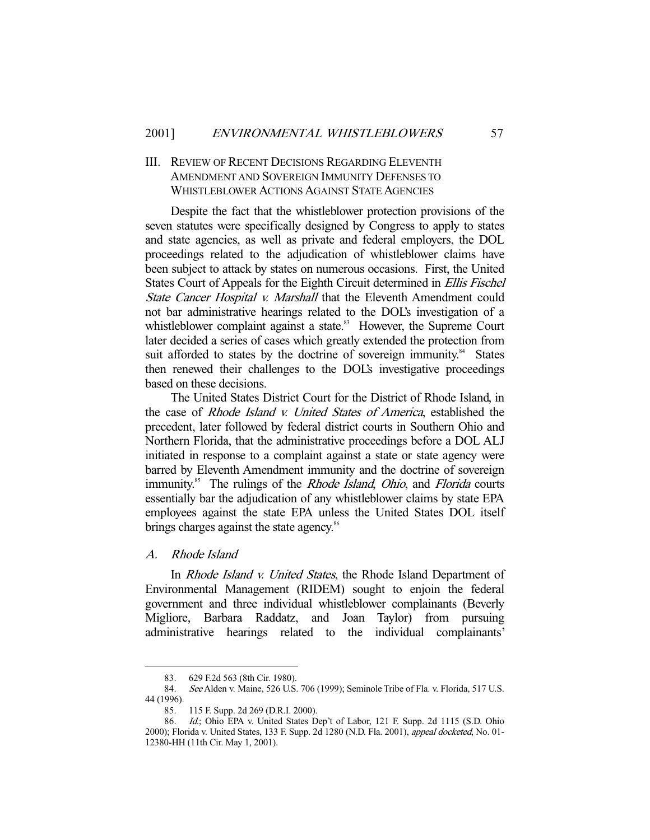# III. REVIEW OF RECENT DECISIONS REGARDING ELEVENTH AMENDMENT AND SOVEREIGN IMMUNITY DEFENSES TO WHISTLEBLOWER ACTIONS AGAINST STATE AGENCIES

 Despite the fact that the whistleblower protection provisions of the seven statutes were specifically designed by Congress to apply to states and state agencies, as well as private and federal employers, the DOL proceedings related to the adjudication of whistleblower claims have been subject to attack by states on numerous occasions. First, the United States Court of Appeals for the Eighth Circuit determined in Ellis Fischel State Cancer Hospital v. Marshall that the Eleventh Amendment could not bar administrative hearings related to the DOL's investigation of a whistleblower complaint against a state.<sup>83</sup> However, the Supreme Court later decided a series of cases which greatly extended the protection from suit afforded to states by the doctrine of sovereign immunity.<sup>84</sup> States then renewed their challenges to the DOL's investigative proceedings based on these decisions.

 The United States District Court for the District of Rhode Island, in the case of Rhode Island v. United States of America, established the precedent, later followed by federal district courts in Southern Ohio and Northern Florida, that the administrative proceedings before a DOL ALJ initiated in response to a complaint against a state or state agency were barred by Eleventh Amendment immunity and the doctrine of sovereign immunity.<sup>85</sup> The rulings of the *Rhode Island*, *Ohio*, and *Florida* courts essentially bar the adjudication of any whistleblower claims by state EPA employees against the state EPA unless the United States DOL itself brings charges against the state agency.<sup>86</sup>

## A. Rhode Island

-

 In Rhode Island v. United States, the Rhode Island Department of Environmental Management (RIDEM) sought to enjoin the federal government and three individual whistleblower complainants (Beverly Migliore, Barbara Raddatz, and Joan Taylor) from pursuing administrative hearings related to the individual complainants'

 <sup>83. 629</sup> F.2d 563 (8th Cir. 1980).

<sup>84.</sup> See Alden v. Maine, 526 U.S. 706 (1999); Seminole Tribe of Fla. v. Florida, 517 U.S. 44 (1996).

 <sup>85. 115</sup> F. Supp. 2d 269 (D.R.I. 2000).

 <sup>86.</sup> Id.; Ohio EPA v. United States Dep't of Labor, 121 F. Supp. 2d 1115 (S.D. Ohio 2000); Florida v. United States, 133 F. Supp. 2d 1280 (N.D. Fla. 2001), appeal docketed, No. 01-12380-HH (11th Cir. May 1, 2001).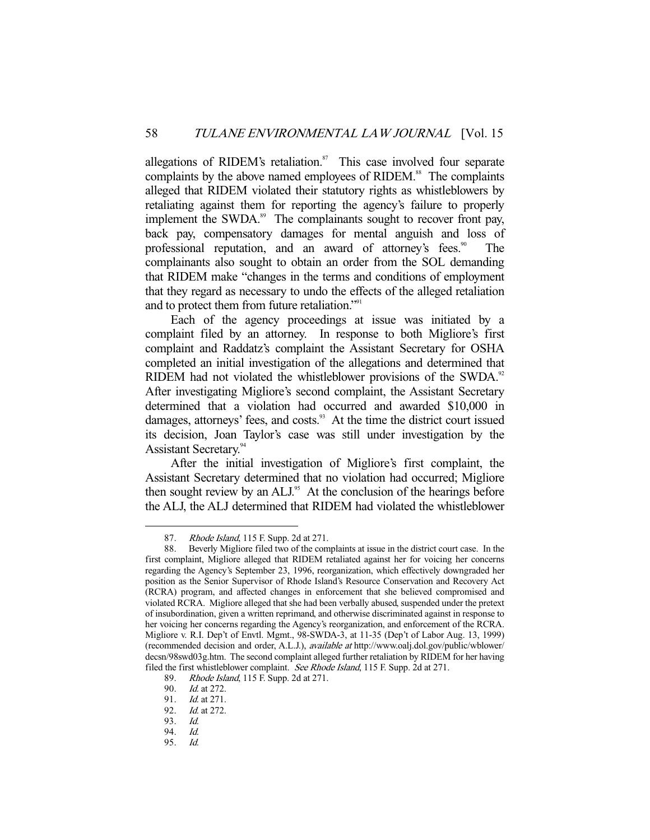allegations of RIDEM's retaliation.<sup>87</sup> This case involved four separate complaints by the above named employees of RIDEM.<sup>88</sup> The complaints alleged that RIDEM violated their statutory rights as whistleblowers by retaliating against them for reporting the agency's failure to properly implement the SWDA.<sup>89</sup> The complainants sought to recover front pay, back pay, compensatory damages for mental anguish and loss of professional reputation, and an award of attorney's fees.<sup>90</sup> The complainants also sought to obtain an order from the SOL demanding that RIDEM make "changes in the terms and conditions of employment that they regard as necessary to undo the effects of the alleged retaliation and to protect them from future retaliation."<sup>91</sup>

 Each of the agency proceedings at issue was initiated by a complaint filed by an attorney. In response to both Migliore's first complaint and Raddatz's complaint the Assistant Secretary for OSHA completed an initial investigation of the allegations and determined that RIDEM had not violated the whistleblower provisions of the SWDA. $92$ After investigating Migliore's second complaint, the Assistant Secretary determined that a violation had occurred and awarded \$10,000 in damages, attorneys' fees, and costs.<sup>93</sup> At the time the district court issued its decision, Joan Taylor's case was still under investigation by the Assistant Secretary.<sup>94</sup>

 After the initial investigation of Migliore's first complaint, the Assistant Secretary determined that no violation had occurred; Migliore then sought review by an ALJ.<sup>95</sup> At the conclusion of the hearings before the ALJ, the ALJ determined that RIDEM had violated the whistleblower

<sup>87.</sup> Rhode Island, 115 F. Supp. 2d at 271.

 <sup>88.</sup> Beverly Migliore filed two of the complaints at issue in the district court case. In the first complaint, Migliore alleged that RIDEM retaliated against her for voicing her concerns regarding the Agency's September 23, 1996, reorganization, which effectively downgraded her position as the Senior Supervisor of Rhode Island's Resource Conservation and Recovery Act (RCRA) program, and affected changes in enforcement that she believed compromised and violated RCRA. Migliore alleged that she had been verbally abused, suspended under the pretext of insubordination, given a written reprimand, and otherwise discriminated against in response to her voicing her concerns regarding the Agency's reorganization, and enforcement of the RCRA. Migliore v. R.I. Dep't of Envtl. Mgmt., 98-SWDA-3, at 11-35 (Dep't of Labor Aug. 13, 1999) (recommended decision and order, A.L.J.), available at http://www.oalj.dol.gov/public/wblower/ decsn/98swd03g.htm. The second complaint alleged further retaliation by RIDEM for her having filed the first whistleblower complaint. See Rhode Island, 115 F. Supp. 2d at 271.

<sup>89.</sup> *Rhode Island*, 115 F. Supp. 2d at 271.<br>90. *Id.* at 272.

Id. at 272.

<sup>91.</sup> *Id.* at 271.<br>92. *Id.* at 272.

*Id.* at 272.<br>*Id.* 

<sup>93.&</sup>lt;br>94.

 <sup>94.</sup> Id.

 <sup>95.</sup> Id.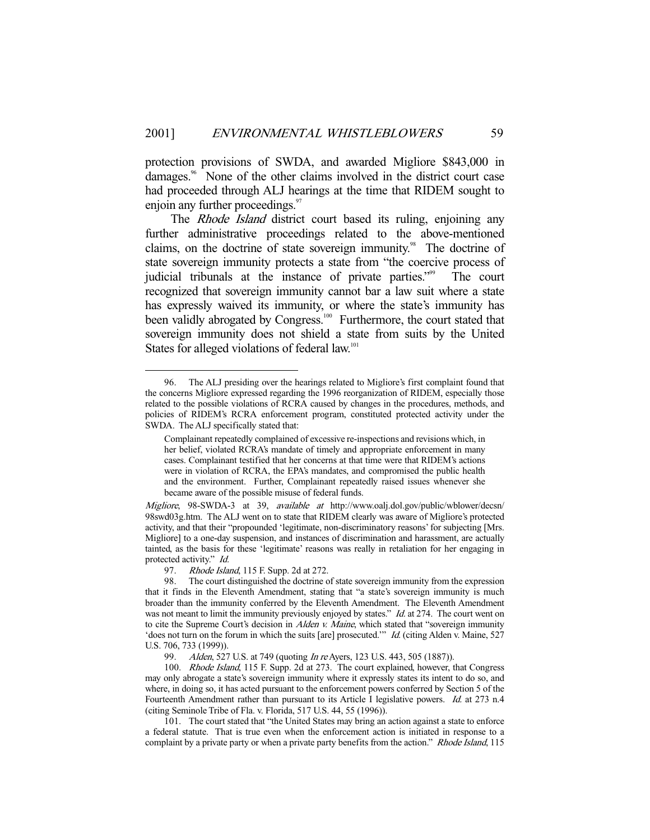protection provisions of SWDA, and awarded Migliore \$843,000 in damages.<sup>96</sup> None of the other claims involved in the district court case had proceeded through ALJ hearings at the time that RIDEM sought to enjoin any further proceedings.<sup>97</sup>

The *Rhode Island* district court based its ruling, enjoining any further administrative proceedings related to the above-mentioned claims, on the doctrine of state sovereign immunity.<sup>98</sup> The doctrine of state sovereign immunity protects a state from "the coercive process of judicial tribunals at the instance of private parties."<sup>99</sup> The court recognized that sovereign immunity cannot bar a law suit where a state has expressly waived its immunity, or where the state's immunity has been validly abrogated by Congress.<sup>100</sup> Furthermore, the court stated that sovereign immunity does not shield a state from suits by the United States for alleged violations of federal law.<sup>101</sup>

97. Rhode Island, 115 F. Supp. 2d at 272.

-

 101. The court stated that "the United States may bring an action against a state to enforce a federal statute. That is true even when the enforcement action is initiated in response to a complaint by a private party or when a private party benefits from the action." Rhode Island, 115

 <sup>96.</sup> The ALJ presiding over the hearings related to Migliore's first complaint found that the concerns Migliore expressed regarding the 1996 reorganization of RIDEM, especially those related to the possible violations of RCRA caused by changes in the procedures, methods, and policies of RIDEM's RCRA enforcement program, constituted protected activity under the SWDA. The ALJ specifically stated that:

Complainant repeatedly complained of excessive re-inspections and revisions which, in her belief, violated RCRA's mandate of timely and appropriate enforcement in many cases. Complainant testified that her concerns at that time were that RIDEM's actions were in violation of RCRA, the EPA's mandates, and compromised the public health and the environment. Further, Complainant repeatedly raised issues whenever she became aware of the possible misuse of federal funds.

Migliore, 98-SWDA-3 at 39, available at http://www.oalj.dol.gov/public/wblower/decsn/ 98swd03g.htm. The ALJ went on to state that RIDEM clearly was aware of Migliore's protected activity, and that their "propounded 'legitimate, non-discriminatory reasons' for subjecting [Mrs. Migliore] to a one-day suspension, and instances of discrimination and harassment, are actually tainted, as the basis for these 'legitimate' reasons was really in retaliation for her engaging in protected activity." Id.

 <sup>98.</sup> The court distinguished the doctrine of state sovereign immunity from the expression that it finds in the Eleventh Amendment, stating that "a state's sovereign immunity is much broader than the immunity conferred by the Eleventh Amendment. The Eleventh Amendment was not meant to limit the immunity previously enjoyed by states." *Id.* at 274. The court went on to cite the Supreme Court's decision in  $A$ lden v. Maine, which stated that "sovereign immunity 'does not turn on the forum in which the suits [are] prosecuted.'" Id. (citing Alden v. Maine, 527 U.S. 706, 733 (1999)).

<sup>99.</sup> Alden, 527 U.S. at 749 (quoting In re Ayers, 123 U.S. 443, 505 (1887)).

 <sup>100.</sup> Rhode Island, 115 F. Supp. 2d at 273. The court explained, however, that Congress may only abrogate a state's sovereign immunity where it expressly states its intent to do so, and where, in doing so, it has acted pursuant to the enforcement powers conferred by Section 5 of the Fourteenth Amendment rather than pursuant to its Article I legislative powers. Id. at 273 n.4 (citing Seminole Tribe of Fla. v. Florida, 517 U.S. 44, 55 (1996)).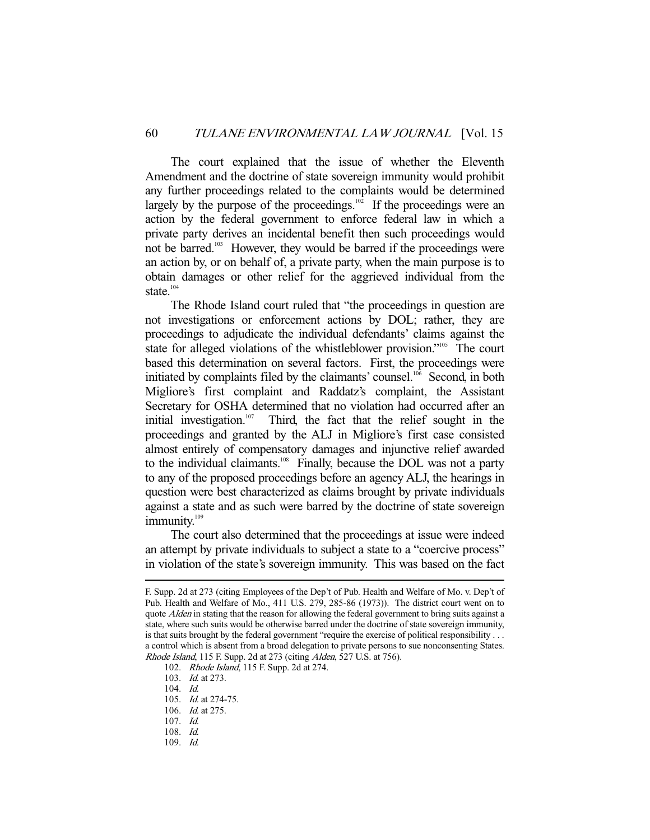The court explained that the issue of whether the Eleventh Amendment and the doctrine of state sovereign immunity would prohibit any further proceedings related to the complaints would be determined largely by the purpose of the proceedings.<sup>102</sup> If the proceedings were an action by the federal government to enforce federal law in which a private party derives an incidental benefit then such proceedings would not be barred.<sup>103</sup> However, they would be barred if the proceedings were an action by, or on behalf of, a private party, when the main purpose is to obtain damages or other relief for the aggrieved individual from the state. $104$ 

 The Rhode Island court ruled that "the proceedings in question are not investigations or enforcement actions by DOL; rather, they are proceedings to adjudicate the individual defendants' claims against the state for alleged violations of the whistleblower provision."<sup>105</sup> The court based this determination on several factors. First, the proceedings were initiated by complaints filed by the claimants' counsel.<sup>106</sup> Second, in both Migliore's first complaint and Raddatz's complaint, the Assistant Secretary for OSHA determined that no violation had occurred after an initial investigation.<sup>107</sup> Third, the fact that the relief sought in the proceedings and granted by the ALJ in Migliore's first case consisted almost entirely of compensatory damages and injunctive relief awarded to the individual claimants.<sup>108</sup> Finally, because the DOL was not a party to any of the proposed proceedings before an agency ALJ, the hearings in question were best characterized as claims brought by private individuals against a state and as such were barred by the doctrine of state sovereign immunity.<sup>109</sup>

 The court also determined that the proceedings at issue were indeed an attempt by private individuals to subject a state to a "coercive process" in violation of the state's sovereign immunity. This was based on the fact

F. Supp. 2d at 273 (citing Employees of the Dep't of Pub. Health and Welfare of Mo. v. Dep't of Pub. Health and Welfare of Mo., 411 U.S. 279, 285-86 (1973)). The district court went on to quote Alden in stating that the reason for allowing the federal government to bring suits against a state, where such suits would be otherwise barred under the doctrine of state sovereign immunity, is that suits brought by the federal government "require the exercise of political responsibility . . . a control which is absent from a broad delegation to private persons to sue nonconsenting States. Rhode Island, 115 F. Supp. 2d at 273 (citing Alden, 527 U.S. at 756).

<sup>102.</sup> *Rhode Island*, 115 F. Supp. 2d at 274.

 <sup>103.</sup> Id. at 273.

 <sup>104.</sup> Id.

 <sup>105.</sup> Id. at 274-75.

 <sup>106.</sup> Id. at 275.

 <sup>107.</sup> Id.

 <sup>108.</sup> Id.

 <sup>109.</sup> Id.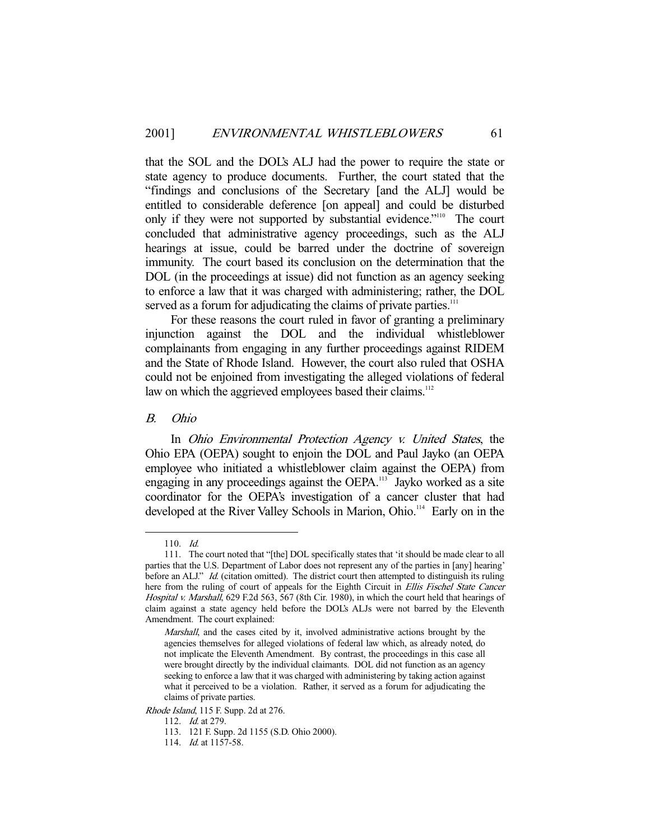that the SOL and the DOL's ALJ had the power to require the state or state agency to produce documents. Further, the court stated that the "findings and conclusions of the Secretary [and the ALJ] would be entitled to considerable deference [on appeal] and could be disturbed only if they were not supported by substantial evidence."<sup>110</sup> The court concluded that administrative agency proceedings, such as the ALJ hearings at issue, could be barred under the doctrine of sovereign immunity. The court based its conclusion on the determination that the DOL (in the proceedings at issue) did not function as an agency seeking to enforce a law that it was charged with administering; rather, the DOL served as a forum for adjudicating the claims of private parties.<sup>111</sup>

 For these reasons the court ruled in favor of granting a preliminary injunction against the DOL and the individual whistleblower complainants from engaging in any further proceedings against RIDEM and the State of Rhode Island. However, the court also ruled that OSHA could not be enjoined from investigating the alleged violations of federal law on which the aggrieved employees based their claims.<sup>112</sup>

#### B. Ohio

 In Ohio Environmental Protection Agency v. United States, the Ohio EPA (OEPA) sought to enjoin the DOL and Paul Jayko (an OEPA employee who initiated a whistleblower claim against the OEPA) from engaging in any proceedings against the OEPA.<sup>113</sup> Jayko worked as a site coordinator for the OEPA's investigation of a cancer cluster that had developed at the River Valley Schools in Marion, Ohio.<sup>114</sup> Early on in the

-

Rhode Island, 115 F. Supp. 2d at 276.

 <sup>110.</sup> Id.

 <sup>111.</sup> The court noted that "[the] DOL specifically states that 'it should be made clear to all parties that the U.S. Department of Labor does not represent any of the parties in [any] hearing' before an ALJ." *Id.* (citation omitted). The district court then attempted to distinguish its ruling here from the ruling of court of appeals for the Eighth Circuit in Ellis Fischel State Cancer Hospital v. Marshall, 629 F.2d 563, 567 (8th Cir. 1980), in which the court held that hearings of claim against a state agency held before the DOL's ALJs were not barred by the Eleventh Amendment. The court explained:

Marshall, and the cases cited by it, involved administrative actions brought by the agencies themselves for alleged violations of federal law which, as already noted, do not implicate the Eleventh Amendment. By contrast, the proceedings in this case all were brought directly by the individual claimants. DOL did not function as an agency seeking to enforce a law that it was charged with administering by taking action against what it perceived to be a violation. Rather, it served as a forum for adjudicating the claims of private parties.

<sup>112.</sup> *Id.* at 279.

 <sup>113. 121</sup> F. Supp. 2d 1155 (S.D. Ohio 2000).

<sup>114.</sup> *Id.* at 1157-58.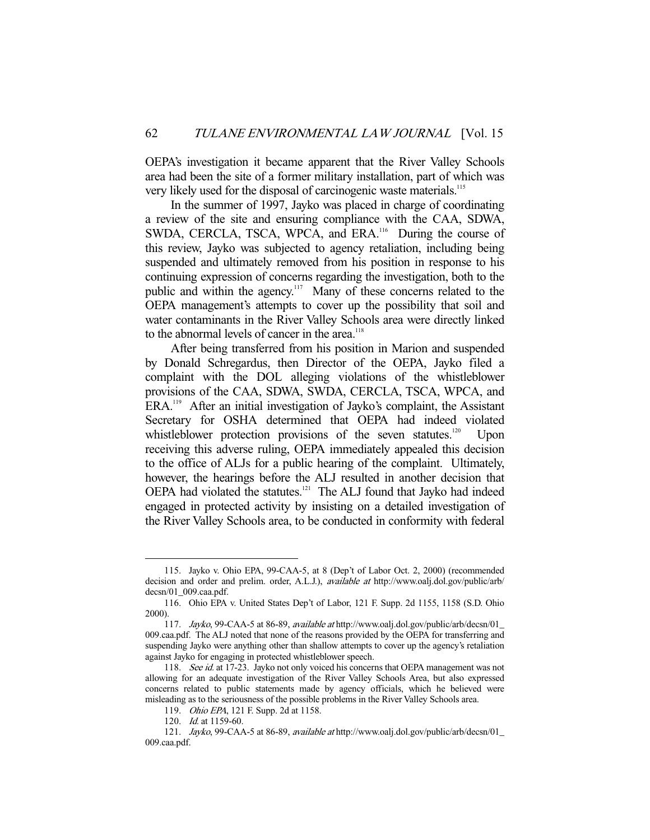OEPA's investigation it became apparent that the River Valley Schools area had been the site of a former military installation, part of which was very likely used for the disposal of carcinogenic waste materials.<sup>115</sup>

 In the summer of 1997, Jayko was placed in charge of coordinating a review of the site and ensuring compliance with the CAA, SDWA, SWDA, CERCLA, TSCA, WPCA, and ERA.<sup>116</sup> During the course of this review, Jayko was subjected to agency retaliation, including being suspended and ultimately removed from his position in response to his continuing expression of concerns regarding the investigation, both to the public and within the agency.<sup>117</sup> Many of these concerns related to the OEPA management's attempts to cover up the possibility that soil and water contaminants in the River Valley Schools area were directly linked to the abnormal levels of cancer in the area.<sup>118</sup>

 After being transferred from his position in Marion and suspended by Donald Schregardus, then Director of the OEPA, Jayko filed a complaint with the DOL alleging violations of the whistleblower provisions of the CAA, SDWA, SWDA, CERCLA, TSCA, WPCA, and ERA.119 After an initial investigation of Jayko's complaint, the Assistant Secretary for OSHA determined that OEPA had indeed violated whistleblower protection provisions of the seven statutes.<sup>120</sup> Upon receiving this adverse ruling, OEPA immediately appealed this decision to the office of ALJs for a public hearing of the complaint. Ultimately, however, the hearings before the ALJ resulted in another decision that OEPA had violated the statutes.<sup>121</sup> The ALJ found that Jayko had indeed engaged in protected activity by insisting on a detailed investigation of the River Valley Schools area, to be conducted in conformity with federal

 <sup>115.</sup> Jayko v. Ohio EPA, 99-CAA-5, at 8 (Dep't of Labor Oct. 2, 2000) (recommended decision and order and prelim. order, A.L.J.), available at http://www.oalj.dol.gov/public/arb/ decsn/01\_009.caa.pdf.

 <sup>116.</sup> Ohio EPA v. United States Dep't of Labor, 121 F. Supp. 2d 1155, 1158 (S.D. Ohio 2000).

 <sup>117.</sup> Jayko, 99-CAA-5 at 86-89, available at http://www.oalj.dol.gov/public/arb/decsn/01\_ 009.caa.pdf. The ALJ noted that none of the reasons provided by the OEPA for transferring and suspending Jayko were anything other than shallow attempts to cover up the agency's retaliation against Jayko for engaging in protected whistleblower speech.

<sup>118.</sup> See id. at 17-23. Jayko not only voiced his concerns that OEPA management was not allowing for an adequate investigation of the River Valley Schools Area, but also expressed concerns related to public statements made by agency officials, which he believed were misleading as to the seriousness of the possible problems in the River Valley Schools area.

 <sup>119.</sup> Ohio EPA, 121 F. Supp. 2d at 1158.

<sup>120.</sup> *Id.* at 1159-60.

 <sup>121.</sup> Jayko, 99-CAA-5 at 86-89, available at http://www.oalj.dol.gov/public/arb/decsn/01\_ 009.caa.pdf.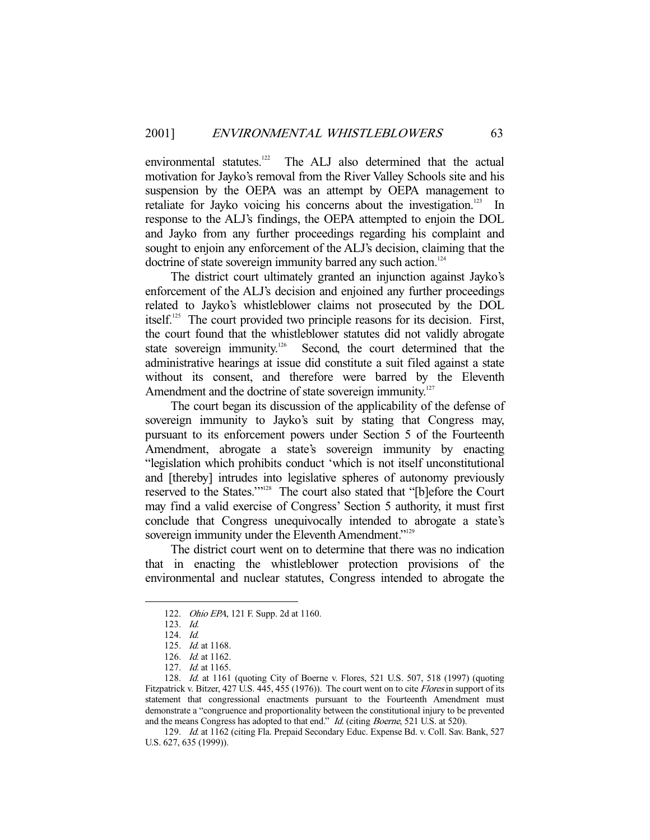environmental statutes.<sup>122</sup> The ALJ also determined that the actual motivation for Jayko's removal from the River Valley Schools site and his suspension by the OEPA was an attempt by OEPA management to retaliate for Jayko voicing his concerns about the investigation.<sup>123</sup> In response to the ALJ's findings, the OEPA attempted to enjoin the DOL and Jayko from any further proceedings regarding his complaint and sought to enjoin any enforcement of the ALJ's decision, claiming that the doctrine of state sovereign immunity barred any such action.<sup>124</sup>

 The district court ultimately granted an injunction against Jayko's enforcement of the ALJ's decision and enjoined any further proceedings related to Jayko's whistleblower claims not prosecuted by the DOL itself.125 The court provided two principle reasons for its decision. First, the court found that the whistleblower statutes did not validly abrogate state sovereign immunity.<sup>126</sup> Second, the court determined that the administrative hearings at issue did constitute a suit filed against a state without its consent, and therefore were barred by the Eleventh Amendment and the doctrine of state sovereign immunity.<sup>127</sup>

 The court began its discussion of the applicability of the defense of sovereign immunity to Jayko's suit by stating that Congress may, pursuant to its enforcement powers under Section 5 of the Fourteenth Amendment, abrogate a state's sovereign immunity by enacting "legislation which prohibits conduct 'which is not itself unconstitutional and [thereby] intrudes into legislative spheres of autonomy previously reserved to the States.'"128 The court also stated that "[b]efore the Court may find a valid exercise of Congress' Section 5 authority, it must first conclude that Congress unequivocally intended to abrogate a state's sovereign immunity under the Eleventh Amendment."<sup>129</sup>

 The district court went on to determine that there was no indication that in enacting the whistleblower protection provisions of the environmental and nuclear statutes, Congress intended to abrogate the

-

 129. Id. at 1162 (citing Fla. Prepaid Secondary Educ. Expense Bd. v. Coll. Sav. Bank, 527 U.S. 627, 635 (1999)).

 <sup>122.</sup> Ohio EPA, 121 F. Supp. 2d at 1160.

 <sup>123.</sup> Id.

 <sup>124.</sup> Id.

 <sup>125.</sup> Id. at 1168.

 <sup>126.</sup> Id. at 1162.

 <sup>127.</sup> Id. at 1165.

 <sup>128.</sup> Id. at 1161 (quoting City of Boerne v. Flores, 521 U.S. 507, 518 (1997) (quoting Fitzpatrick v. Bitzer, 427 U.S. 445, 455 (1976)). The court went on to cite *Flores* in support of its statement that congressional enactments pursuant to the Fourteenth Amendment must demonstrate a "congruence and proportionality between the constitutional injury to be prevented and the means Congress has adopted to that end." Id. (citing Boerne, 521 U.S. at 520).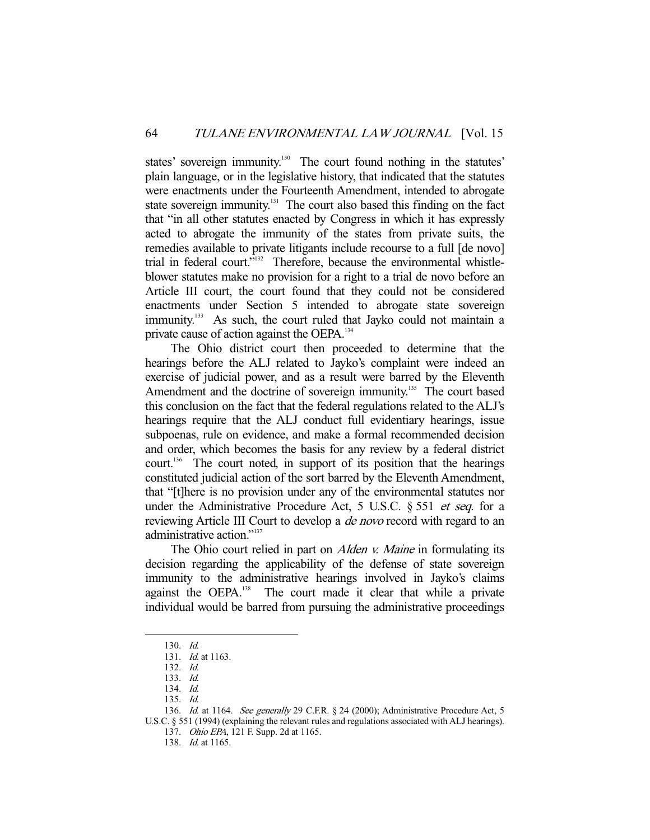states' sovereign immunity.<sup>130</sup> The court found nothing in the statutes' plain language, or in the legislative history, that indicated that the statutes were enactments under the Fourteenth Amendment, intended to abrogate state sovereign immunity.<sup>131</sup> The court also based this finding on the fact that "in all other statutes enacted by Congress in which it has expressly acted to abrogate the immunity of the states from private suits, the remedies available to private litigants include recourse to a full [de novo] trial in federal court."<sup>132</sup> Therefore, because the environmental whistleblower statutes make no provision for a right to a trial de novo before an Article III court, the court found that they could not be considered enactments under Section 5 intended to abrogate state sovereign immunity.<sup>133</sup> As such, the court ruled that Jayko could not maintain a private cause of action against the OEPA.<sup>134</sup>

 The Ohio district court then proceeded to determine that the hearings before the ALJ related to Jayko's complaint were indeed an exercise of judicial power, and as a result were barred by the Eleventh Amendment and the doctrine of sovereign immunity.<sup>135</sup> The court based this conclusion on the fact that the federal regulations related to the ALJ's hearings require that the ALJ conduct full evidentiary hearings, issue subpoenas, rule on evidence, and make a formal recommended decision and order, which becomes the basis for any review by a federal district court.<sup>136</sup> The court noted, in support of its position that the hearings constituted judicial action of the sort barred by the Eleventh Amendment, that "[t]here is no provision under any of the environmental statutes nor under the Administrative Procedure Act, 5 U.S.C. § 551 *et seq.* for a reviewing Article III Court to develop a *de novo* record with regard to an administrative action."137

The Ohio court relied in part on *Alden v. Maine* in formulating its decision regarding the applicability of the defense of state sovereign immunity to the administrative hearings involved in Jayko's claims against the OEPA.<sup>138</sup> The court made it clear that while a private individual would be barred from pursuing the administrative proceedings

-

 137. Ohio EPA, 121 F. Supp. 2d at 1165. 138. Id. at 1165.

 <sup>130.</sup> Id.

 <sup>131.</sup> Id. at 1163.

 <sup>132.</sup> Id.

 <sup>133.</sup> Id.

 <sup>134.</sup> Id.

 <sup>135.</sup> Id.

<sup>136.</sup> Id. at 1164. See generally 29 C.F.R. § 24 (2000); Administrative Procedure Act, 5 U.S.C. § 551 (1994) (explaining the relevant rules and regulations associated with ALJ hearings).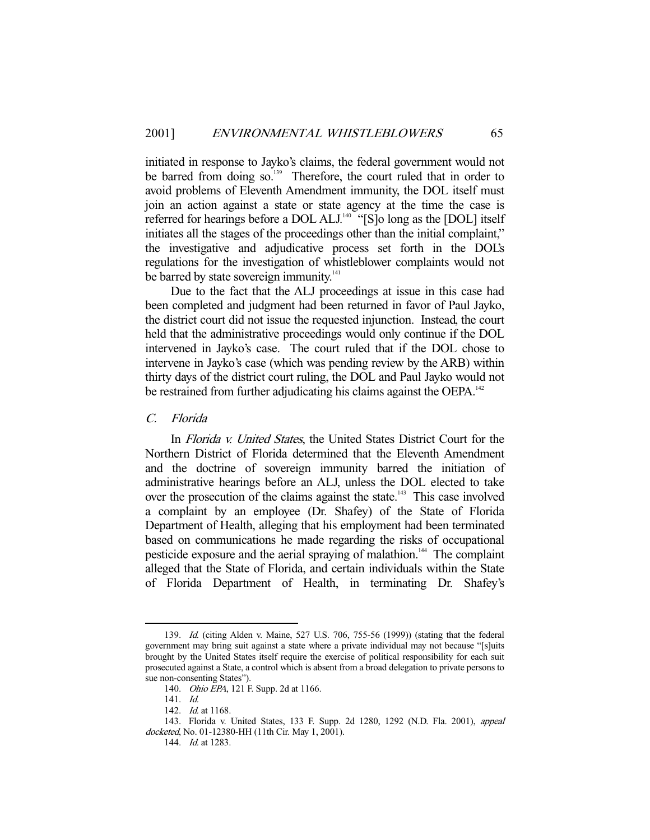initiated in response to Jayko's claims, the federal government would not be barred from doing  $so<sup>139</sup>$ . Therefore, the court ruled that in order to avoid problems of Eleventh Amendment immunity, the DOL itself must join an action against a state or state agency at the time the case is referred for hearings before a DOL ALJ.<sup>140</sup> "[S]o long as the [DOL] itself initiates all the stages of the proceedings other than the initial complaint," the investigative and adjudicative process set forth in the DOL's regulations for the investigation of whistleblower complaints would not be barred by state sovereign immunity.<sup>141</sup>

 Due to the fact that the ALJ proceedings at issue in this case had been completed and judgment had been returned in favor of Paul Jayko, the district court did not issue the requested injunction. Instead, the court held that the administrative proceedings would only continue if the DOL intervened in Jayko's case. The court ruled that if the DOL chose to intervene in Jayko's case (which was pending review by the ARB) within thirty days of the district court ruling, the DOL and Paul Jayko would not be restrained from further adjudicating his claims against the OEPA.<sup>142</sup>

#### C. Florida

 In Florida v. United States, the United States District Court for the Northern District of Florida determined that the Eleventh Amendment and the doctrine of sovereign immunity barred the initiation of administrative hearings before an ALJ, unless the DOL elected to take over the prosecution of the claims against the state.<sup>143</sup> This case involved a complaint by an employee (Dr. Shafey) of the State of Florida Department of Health, alleging that his employment had been terminated based on communications he made regarding the risks of occupational pesticide exposure and the aerial spraying of malathion.<sup>144</sup> The complaint alleged that the State of Florida, and certain individuals within the State of Florida Department of Health, in terminating Dr. Shafey's

 <sup>139.</sup> Id. (citing Alden v. Maine, 527 U.S. 706, 755-56 (1999)) (stating that the federal government may bring suit against a state where a private individual may not because "[s]uits brought by the United States itself require the exercise of political responsibility for each suit prosecuted against a State, a control which is absent from a broad delegation to private persons to sue non-consenting States").

 <sup>140.</sup> Ohio EPA, 121 F. Supp. 2d at 1166.

 <sup>141.</sup> Id.

<sup>142.</sup> *Id.* at 1168.

 <sup>143.</sup> Florida v. United States, 133 F. Supp. 2d 1280, 1292 (N.D. Fla. 2001), appeal docketed, No. 01-12380-HH (11th Cir. May 1, 2001).

<sup>144.</sup> *Id.* at 1283.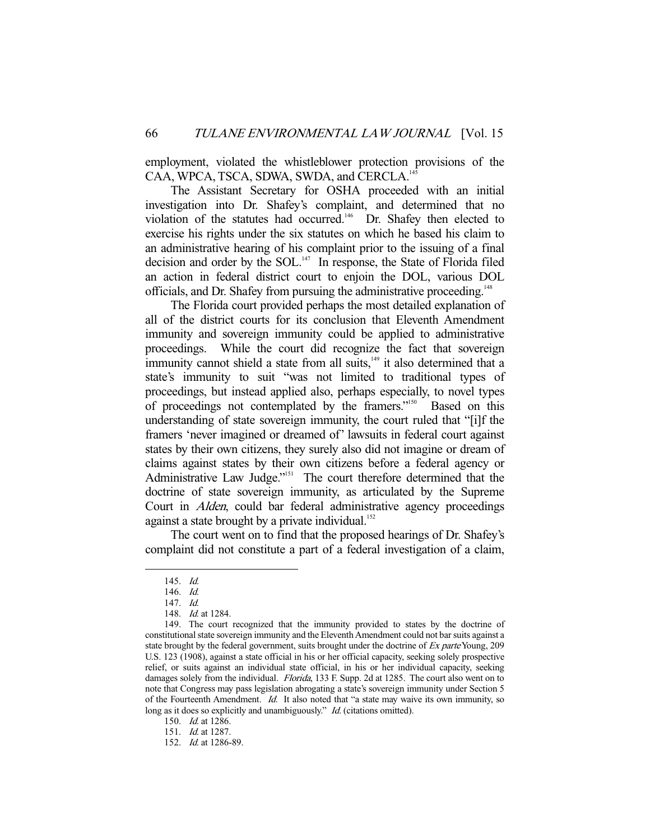employment, violated the whistleblower protection provisions of the CAA, WPCA, TSCA, SDWA, SWDA, and CERCLA.<sup>1</sup>

 The Assistant Secretary for OSHA proceeded with an initial investigation into Dr. Shafey's complaint, and determined that no violation of the statutes had occurred.<sup>146</sup> Dr. Shafey then elected to exercise his rights under the six statutes on which he based his claim to an administrative hearing of his complaint prior to the issuing of a final decision and order by the SOL.<sup>147</sup> In response, the State of Florida filed an action in federal district court to enjoin the DOL, various DOL officials, and Dr. Shafey from pursuing the administrative proceeding.<sup>148</sup>

 The Florida court provided perhaps the most detailed explanation of all of the district courts for its conclusion that Eleventh Amendment immunity and sovereign immunity could be applied to administrative proceedings. While the court did recognize the fact that sovereign immunity cannot shield a state from all suits, $149$  it also determined that a state's immunity to suit "was not limited to traditional types of proceedings, but instead applied also, perhaps especially, to novel types of proceedings not contemplated by the framers."150 Based on this understanding of state sovereign immunity, the court ruled that "[i]f the framers 'never imagined or dreamed of' lawsuits in federal court against states by their own citizens, they surely also did not imagine or dream of claims against states by their own citizens before a federal agency or Administrative Law Judge."<sup>151</sup> The court therefore determined that the doctrine of state sovereign immunity, as articulated by the Supreme Court in Alden, could bar federal administrative agency proceedings against a state brought by a private individual.<sup>152</sup>

 The court went on to find that the proposed hearings of Dr. Shafey's complaint did not constitute a part of a federal investigation of a claim,

 <sup>145.</sup> Id.

 <sup>146.</sup> Id.

 <sup>147.</sup> Id.

 <sup>148.</sup> Id. at 1284.

 <sup>149.</sup> The court recognized that the immunity provided to states by the doctrine of constitutional state sovereign immunity and the Eleventh Amendment could not bar suits against a state brought by the federal government, suits brought under the doctrine of Ex parte Young, 209 U.S. 123 (1908), against a state official in his or her official capacity, seeking solely prospective relief, or suits against an individual state official, in his or her individual capacity, seeking damages solely from the individual. *Florida*, 133 F. Supp. 2d at 1285. The court also went on to note that Congress may pass legislation abrogating a state's sovereign immunity under Section 5 of the Fourteenth Amendment. Id. It also noted that "a state may waive its own immunity, so long as it does so explicitly and unambiguously." Id. (citations omitted).

 <sup>150.</sup> Id. at 1286.

 <sup>151.</sup> Id. at 1287.

 <sup>152.</sup> Id. at 1286-89.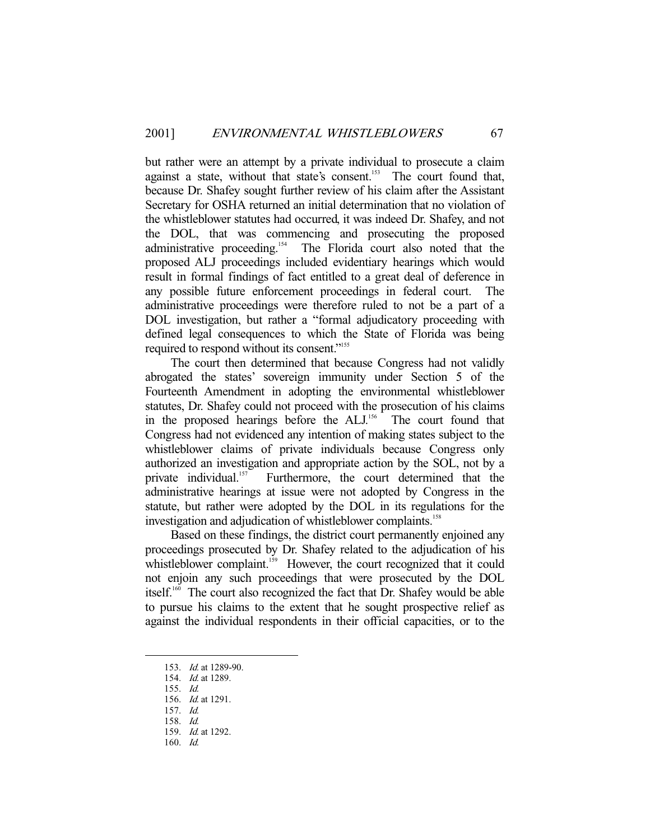but rather were an attempt by a private individual to prosecute a claim against a state, without that state's consent.<sup>153</sup> The court found that, because Dr. Shafey sought further review of his claim after the Assistant Secretary for OSHA returned an initial determination that no violation of the whistleblower statutes had occurred, it was indeed Dr. Shafey, and not the DOL, that was commencing and prosecuting the proposed administrative proceeding.<sup>154</sup> The Florida court also noted that the proposed ALJ proceedings included evidentiary hearings which would result in formal findings of fact entitled to a great deal of deference in any possible future enforcement proceedings in federal court. The administrative proceedings were therefore ruled to not be a part of a DOL investigation, but rather a "formal adjudicatory proceeding with defined legal consequences to which the State of Florida was being required to respond without its consent."155

 The court then determined that because Congress had not validly abrogated the states' sovereign immunity under Section 5 of the Fourteenth Amendment in adopting the environmental whistleblower statutes, Dr. Shafey could not proceed with the prosecution of his claims in the proposed hearings before the ALJ.<sup>156</sup> The court found that Congress had not evidenced any intention of making states subject to the whistleblower claims of private individuals because Congress only authorized an investigation and appropriate action by the SOL, not by a private individual.<sup>157</sup> Furthermore, the court determined that the administrative hearings at issue were not adopted by Congress in the statute, but rather were adopted by the DOL in its regulations for the investigation and adjudication of whistleblower complaints.<sup>158</sup>

 Based on these findings, the district court permanently enjoined any proceedings prosecuted by Dr. Shafey related to the adjudication of his whistleblower complaint.<sup>159</sup> However, the court recognized that it could not enjoin any such proceedings that were prosecuted by the DOL itself.160 The court also recognized the fact that Dr. Shafey would be able to pursue his claims to the extent that he sought prospective relief as against the individual respondents in their official capacities, or to the

 <sup>153.</sup> Id. at 1289-90.

 <sup>154.</sup> Id. at 1289.

 <sup>155.</sup> Id.

 <sup>156.</sup> Id. at 1291.

 <sup>157.</sup> Id.

 <sup>158.</sup> Id.

 <sup>159.</sup> Id. at 1292.

 <sup>160.</sup> Id.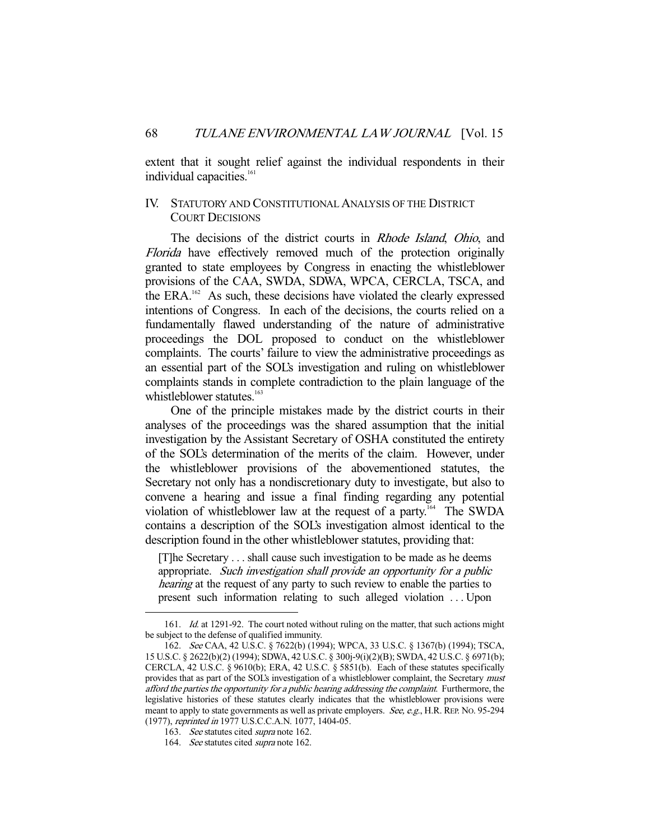extent that it sought relief against the individual respondents in their individual capacities.<sup>161</sup>

## IV. STATUTORY AND CONSTITUTIONAL ANALYSIS OF THE DISTRICT COURT DECISIONS

The decisions of the district courts in *Rhode Island*, *Ohio*, and Florida have effectively removed much of the protection originally granted to state employees by Congress in enacting the whistleblower provisions of the CAA, SWDA, SDWA, WPCA, CERCLA, TSCA, and the ERA.<sup>162</sup> As such, these decisions have violated the clearly expressed intentions of Congress. In each of the decisions, the courts relied on a fundamentally flawed understanding of the nature of administrative proceedings the DOL proposed to conduct on the whistleblower complaints. The courts' failure to view the administrative proceedings as an essential part of the SOL's investigation and ruling on whistleblower complaints stands in complete contradiction to the plain language of the whistleblower statutes.<sup>163</sup>

 One of the principle mistakes made by the district courts in their analyses of the proceedings was the shared assumption that the initial investigation by the Assistant Secretary of OSHA constituted the entirety of the SOL's determination of the merits of the claim. However, under the whistleblower provisions of the abovementioned statutes, the Secretary not only has a nondiscretionary duty to investigate, but also to convene a hearing and issue a final finding regarding any potential violation of whistleblower law at the request of a party.<sup>164</sup> The SWDA contains a description of the SOL's investigation almost identical to the description found in the other whistleblower statutes, providing that:

[T]he Secretary . . . shall cause such investigation to be made as he deems appropriate. Such investigation shall provide an opportunity for a public hearing at the request of any party to such review to enable the parties to present such information relating to such alleged violation . . . Upon

<sup>161.</sup> *Id.* at 1291-92. The court noted without ruling on the matter, that such actions might be subject to the defense of qualified immunity.

 <sup>162.</sup> See CAA, 42 U.S.C. § 7622(b) (1994); WPCA, 33 U.S.C. § 1367(b) (1994); TSCA, 15 U.S.C. § 2622(b)(2) (1994); SDWA, 42 U.S.C. § 300j-9(i)(2)(B); SWDA, 42 U.S.C. § 6971(b); CERCLA, 42 U.S.C. § 9610(b); ERA, 42 U.S.C. § 5851(b). Each of these statutes specifically provides that as part of the SOL's investigation of a whistleblower complaint, the Secretary must afford the parties the opportunity for a public hearing addressing the complaint. Furthermore, the legislative histories of these statutes clearly indicates that the whistleblower provisions were meant to apply to state governments as well as private employers. See, e.g., H.R. REP. No. 95-294 (1977), reprinted in 1977 U.S.C.C.A.N. 1077, 1404-05.

<sup>163.</sup> See statutes cited *supra* note 162.

<sup>164.</sup> See statutes cited supra note 162.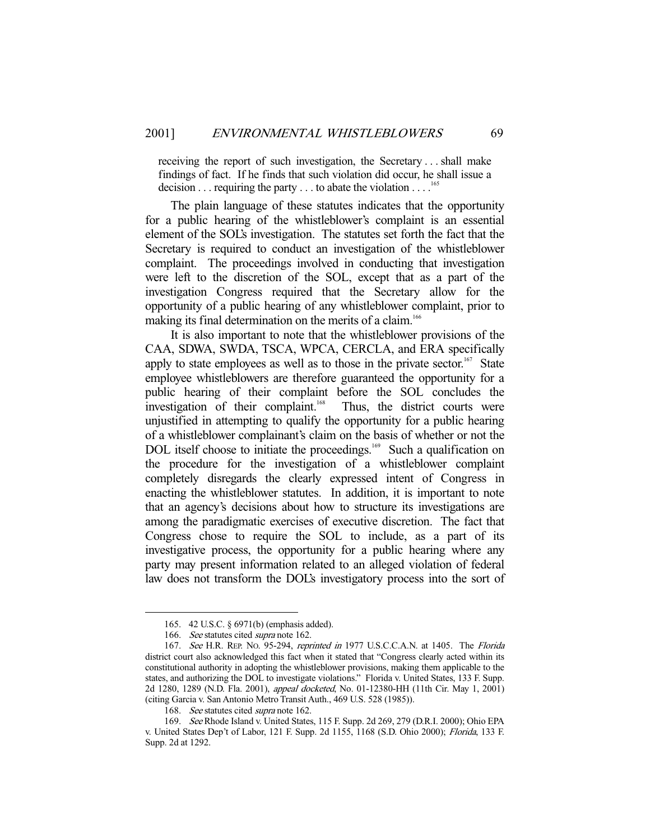receiving the report of such investigation, the Secretary . . . shall make findings of fact. If he finds that such violation did occur, he shall issue a decision  $\dots$  requiring the party  $\dots$  to abate the violation  $\dots$ .<sup>16</sup>

 The plain language of these statutes indicates that the opportunity for a public hearing of the whistleblower's complaint is an essential element of the SOL's investigation. The statutes set forth the fact that the Secretary is required to conduct an investigation of the whistleblower complaint. The proceedings involved in conducting that investigation were left to the discretion of the SOL, except that as a part of the investigation Congress required that the Secretary allow for the opportunity of a public hearing of any whistleblower complaint, prior to making its final determination on the merits of a claim.<sup>166</sup>

 It is also important to note that the whistleblower provisions of the CAA, SDWA, SWDA, TSCA, WPCA, CERCLA, and ERA specifically apply to state employees as well as to those in the private sector.<sup>167</sup> State employee whistleblowers are therefore guaranteed the opportunity for a public hearing of their complaint before the SOL concludes the investigation of their complaint.<sup>168</sup> Thus, the district courts were unjustified in attempting to qualify the opportunity for a public hearing of a whistleblower complainant's claim on the basis of whether or not the DOL itself choose to initiate the proceedings.<sup>169</sup> Such a qualification on the procedure for the investigation of a whistleblower complaint completely disregards the clearly expressed intent of Congress in enacting the whistleblower statutes. In addition, it is important to note that an agency's decisions about how to structure its investigations are among the paradigmatic exercises of executive discretion. The fact that Congress chose to require the SOL to include, as a part of its investigative process, the opportunity for a public hearing where any party may present information related to an alleged violation of federal law does not transform the DOL's investigatory process into the sort of

 <sup>165. 42</sup> U.S.C. § 6971(b) (emphasis added).

<sup>166.</sup> See statutes cited supra note 162.

<sup>167.</sup> See H.R. REP. No. 95-294, reprinted in 1977 U.S.C.C.A.N. at 1405. The Florida district court also acknowledged this fact when it stated that "Congress clearly acted within its constitutional authority in adopting the whistleblower provisions, making them applicable to the states, and authorizing the DOL to investigate violations." Florida v. United States, 133 F. Supp. 2d 1280, 1289 (N.D. Fla. 2001), appeal docketed, No. 01-12380-HH (11th Cir. May 1, 2001) (citing Garcia v. San Antonio Metro Transit Auth., 469 U.S. 528 (1985)).

<sup>168.</sup> See statutes cited supra note 162.

 <sup>169.</sup> See Rhode Island v. United States, 115 F. Supp. 2d 269, 279 (D.R.I. 2000); Ohio EPA v. United States Dep't of Labor, 121 F. Supp. 2d 1155, 1168 (S.D. Ohio 2000); Florida, 133 F. Supp. 2d at 1292.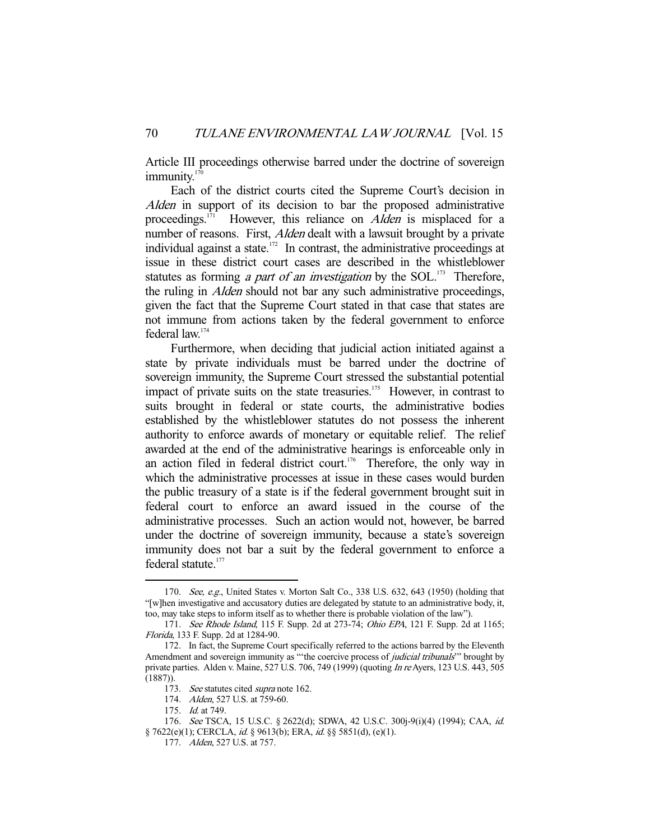Article III proceedings otherwise barred under the doctrine of sovereign immunity.<sup>17</sup>

 Each of the district courts cited the Supreme Court's decision in Alden in support of its decision to bar the proposed administrative proceedings.<sup>171</sup> However, this reliance on *Alden* is misplaced for a number of reasons. First, *Alden* dealt with a lawsuit brought by a private individual against a state.<sup>172</sup> In contrast, the administrative proceedings at issue in these district court cases are described in the whistleblower statutes as forming *a part of an investigation* by the  $SOL$ <sup>173</sup> Therefore, the ruling in Alden should not bar any such administrative proceedings, given the fact that the Supreme Court stated in that case that states are not immune from actions taken by the federal government to enforce federal law.174

 Furthermore, when deciding that judicial action initiated against a state by private individuals must be barred under the doctrine of sovereign immunity, the Supreme Court stressed the substantial potential impact of private suits on the state treasuries.<sup>175</sup> However, in contrast to suits brought in federal or state courts, the administrative bodies established by the whistleblower statutes do not possess the inherent authority to enforce awards of monetary or equitable relief. The relief awarded at the end of the administrative hearings is enforceable only in an action filed in federal district court.<sup>176</sup> Therefore, the only way in which the administrative processes at issue in these cases would burden the public treasury of a state is if the federal government brought suit in federal court to enforce an award issued in the course of the administrative processes. Such an action would not, however, be barred under the doctrine of sovereign immunity, because a state's sovereign immunity does not bar a suit by the federal government to enforce a federal statute.<sup>177</sup>

<sup>170.</sup> See, e.g., United States v. Morton Salt Co., 338 U.S. 632, 643 (1950) (holding that "[w]hen investigative and accusatory duties are delegated by statute to an administrative body, it, too, may take steps to inform itself as to whether there is probable violation of the law").

<sup>171.</sup> See Rhode Island, 115 F. Supp. 2d at 273-74; Ohio EPA, 121 F. Supp. 2d at 1165; Florida, 133 F. Supp. 2d at 1284-90.

 <sup>172.</sup> In fact, the Supreme Court specifically referred to the actions barred by the Eleventh Amendment and sovereign immunity as "the coercive process of *judicial tribunals*" brought by private parties. Alden v. Maine, 527 U.S. 706, 749 (1999) (quoting In re Ayers, 123 U.S. 443, 505 (1887)).

<sup>173.</sup> See statutes cited supra note 162.

 <sup>174.</sup> Alden, 527 U.S. at 759-60.

<sup>175.</sup> *Id.* at 749.

 <sup>176.</sup> See TSCA, 15 U.S.C. § 2622(d); SDWA, 42 U.S.C. 300j-9(i)(4) (1994); CAA, id. § 7622(e)(1); CERCLA, id. § 9613(b); ERA, id. §§ 5851(d), (e)(1).

 <sup>177.</sup> Alden, 527 U.S. at 757.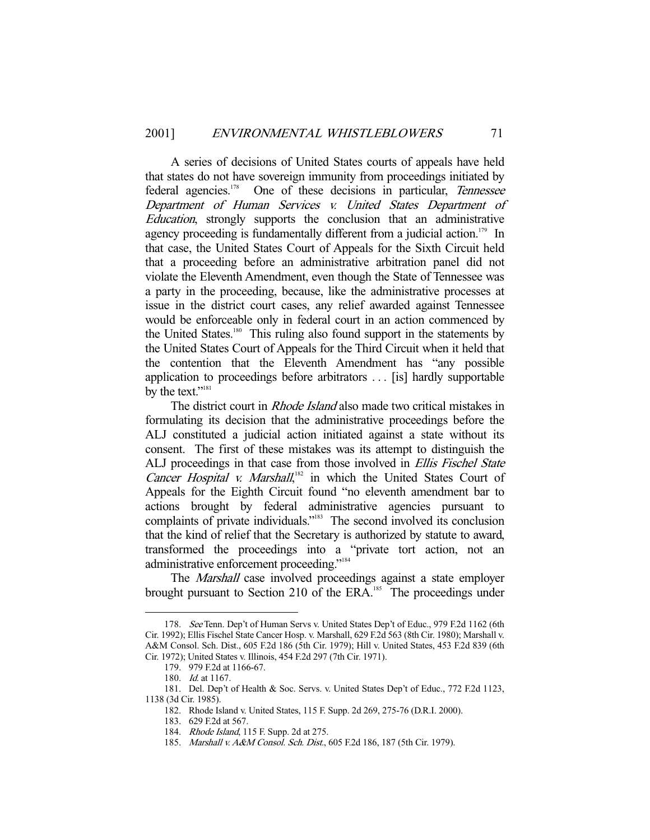A series of decisions of United States courts of appeals have held that states do not have sovereign immunity from proceedings initiated by federal agencies.<sup>178</sup> One of these decisions in particular, Tennessee Department of Human Services v. United States Department of Education, strongly supports the conclusion that an administrative agency proceeding is fundamentally different from a judicial action.<sup>179</sup> In that case, the United States Court of Appeals for the Sixth Circuit held that a proceeding before an administrative arbitration panel did not violate the Eleventh Amendment, even though the State of Tennessee was a party in the proceeding, because, like the administrative processes at issue in the district court cases, any relief awarded against Tennessee would be enforceable only in federal court in an action commenced by the United States.180 This ruling also found support in the statements by the United States Court of Appeals for the Third Circuit when it held that the contention that the Eleventh Amendment has "any possible application to proceedings before arbitrators . . . [is] hardly supportable by the text."<sup>181</sup>

The district court in *Rhode Island* also made two critical mistakes in formulating its decision that the administrative proceedings before the ALJ constituted a judicial action initiated against a state without its consent. The first of these mistakes was its attempt to distinguish the ALJ proceedings in that case from those involved in Ellis Fischel State Cancer Hospital v. Marshall, $182$  in which the United States Court of Appeals for the Eighth Circuit found "no eleventh amendment bar to actions brought by federal administrative agencies pursuant to complaints of private individuals."<sup>183</sup> The second involved its conclusion that the kind of relief that the Secretary is authorized by statute to award, transformed the proceedings into a "private tort action, not an administrative enforcement proceeding."184

The Marshall case involved proceedings against a state employer brought pursuant to Section 210 of the ERA.<sup>185</sup> The proceedings under

 <sup>178.</sup> See Tenn. Dep't of Human Servs v. United States Dep't of Educ., 979 F.2d 1162 (6th Cir. 1992); Ellis Fischel State Cancer Hosp. v. Marshall, 629 F.2d 563 (8th Cir. 1980); Marshall v. A&M Consol. Sch. Dist., 605 F.2d 186 (5th Cir. 1979); Hill v. United States, 453 F.2d 839 (6th Cir. 1972); United States v. Illinois, 454 F.2d 297 (7th Cir. 1971).

 <sup>179. 979</sup> F.2d at 1166-67.

 <sup>180.</sup> Id. at 1167.

 <sup>181.</sup> Del. Dep't of Health & Soc. Servs. v. United States Dep't of Educ., 772 F.2d 1123, 1138 (3d Cir. 1985).

 <sup>182.</sup> Rhode Island v. United States, 115 F. Supp. 2d 269, 275-76 (D.R.I. 2000).

 <sup>183. 629</sup> F.2d at 567.

<sup>184.</sup> *Rhode Island*, 115 F. Supp. 2d at 275.

<sup>185.</sup> Marshall v. A&M Consol. Sch. Dist., 605 F.2d 186, 187 (5th Cir. 1979).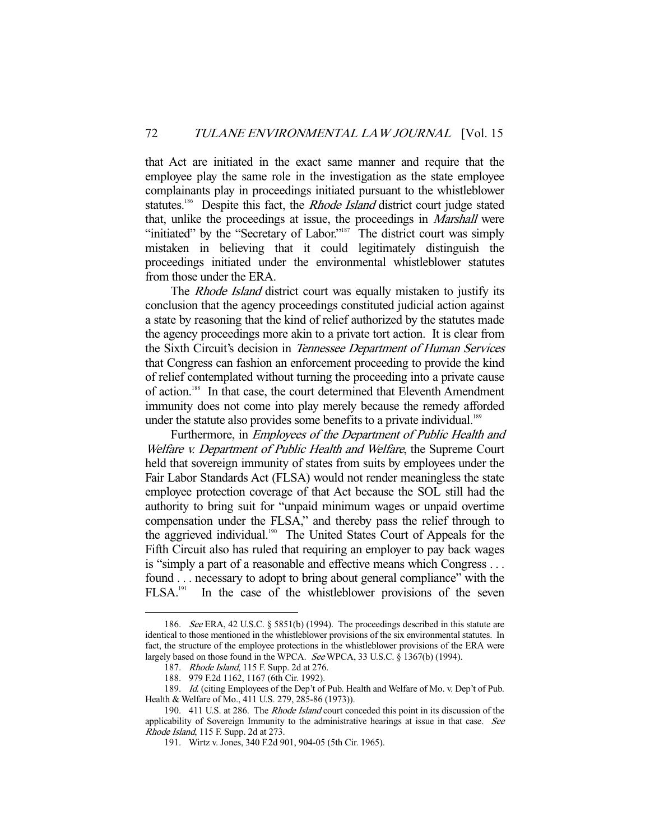that Act are initiated in the exact same manner and require that the employee play the same role in the investigation as the state employee complainants play in proceedings initiated pursuant to the whistleblower statutes.<sup>186</sup> Despite this fact, the *Rhode Island* district court judge stated that, unlike the proceedings at issue, the proceedings in Marshall were "initiated" by the "Secretary of Labor."<sup>187</sup> The district court was simply mistaken in believing that it could legitimately distinguish the proceedings initiated under the environmental whistleblower statutes from those under the ERA.

The *Rhode Island* district court was equally mistaken to justify its conclusion that the agency proceedings constituted judicial action against a state by reasoning that the kind of relief authorized by the statutes made the agency proceedings more akin to a private tort action. It is clear from the Sixth Circuit's decision in Tennessee Department of Human Services that Congress can fashion an enforcement proceeding to provide the kind of relief contemplated without turning the proceeding into a private cause of action.188 In that case, the court determined that Eleventh Amendment immunity does not come into play merely because the remedy afforded under the statute also provides some benefits to a private individual.<sup>189</sup>

 Furthermore, in Employees of the Department of Public Health and Welfare v. Department of Public Health and Welfare, the Supreme Court held that sovereign immunity of states from suits by employees under the Fair Labor Standards Act (FLSA) would not render meaningless the state employee protection coverage of that Act because the SOL still had the authority to bring suit for "unpaid minimum wages or unpaid overtime compensation under the FLSA," and thereby pass the relief through to the aggrieved individual.<sup>190</sup> The United States Court of Appeals for the Fifth Circuit also has ruled that requiring an employer to pay back wages is "simply a part of a reasonable and effective means which Congress . . . found . . . necessary to adopt to bring about general compliance" with the FLSA.191 In the case of the whistleblower provisions of the seven

 <sup>186.</sup> See ERA, 42 U.S.C. § 5851(b) (1994). The proceedings described in this statute are identical to those mentioned in the whistleblower provisions of the six environmental statutes. In fact, the structure of the employee protections in the whistleblower provisions of the ERA were largely based on those found in the WPCA. See WPCA, 33 U.S.C. § 1367(b) (1994).

<sup>187.</sup> *Rhode Island*, 115 F. Supp. 2d at 276.

 <sup>188. 979</sup> F.2d 1162, 1167 (6th Cir. 1992).

 <sup>189.</sup> Id. (citing Employees of the Dep't of Pub. Health and Welfare of Mo. v. Dep't of Pub. Health & Welfare of Mo., 411 U.S. 279, 285-86 (1973)).

<sup>190. 411</sup> U.S. at 286. The *Rhode Island* court conceded this point in its discussion of the applicability of Sovereign Immunity to the administrative hearings at issue in that case. See Rhode Island, 115 F. Supp. 2d at 273.

 <sup>191.</sup> Wirtz v. Jones, 340 F.2d 901, 904-05 (5th Cir. 1965).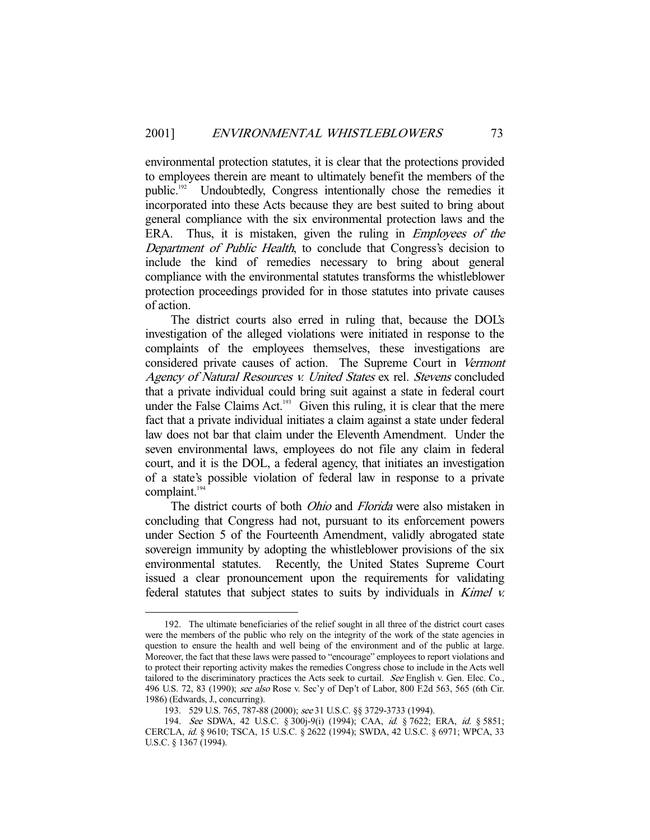environmental protection statutes, it is clear that the protections provided to employees therein are meant to ultimately benefit the members of the public.<sup>192</sup> Undoubtedly, Congress intentionally chose the remedies it incorporated into these Acts because they are best suited to bring about general compliance with the six environmental protection laws and the ERA. Thus, it is mistaken, given the ruling in *Employees of the* Department of Public Health, to conclude that Congress's decision to include the kind of remedies necessary to bring about general compliance with the environmental statutes transforms the whistleblower protection proceedings provided for in those statutes into private causes of action.

 The district courts also erred in ruling that, because the DOL's investigation of the alleged violations were initiated in response to the complaints of the employees themselves, these investigations are considered private causes of action. The Supreme Court in Vermont Agency of Natural Resources v. United States ex rel. Stevens concluded that a private individual could bring suit against a state in federal court under the False Claims Act.<sup>193</sup> Given this ruling, it is clear that the mere fact that a private individual initiates a claim against a state under federal law does not bar that claim under the Eleventh Amendment. Under the seven environmental laws, employees do not file any claim in federal court, and it is the DOL, a federal agency, that initiates an investigation of a state's possible violation of federal law in response to a private complaint.<sup>194</sup>

The district courts of both *Ohio* and *Florida* were also mistaken in concluding that Congress had not, pursuant to its enforcement powers under Section 5 of the Fourteenth Amendment, validly abrogated state sovereign immunity by adopting the whistleblower provisions of the six environmental statutes. Recently, the United States Supreme Court issued a clear pronouncement upon the requirements for validating federal statutes that subject states to suits by individuals in Kimel v.

 <sup>192.</sup> The ultimate beneficiaries of the relief sought in all three of the district court cases were the members of the public who rely on the integrity of the work of the state agencies in question to ensure the health and well being of the environment and of the public at large. Moreover, the fact that these laws were passed to "encourage" employees to report violations and to protect their reporting activity makes the remedies Congress chose to include in the Acts well tailored to the discriminatory practices the Acts seek to curtail. See English v. Gen. Elec. Co., 496 U.S. 72, 83 (1990); see also Rose v. Sec'y of Dep't of Labor, 800 F.2d 563, 565 (6th Cir. 1986) (Edwards, J., concurring).

 <sup>193. 529</sup> U.S. 765, 787-88 (2000); see 31 U.S.C. §§ 3729-3733 (1994).

 <sup>194.</sup> See SDWA, 42 U.S.C. § 300j-9(i) (1994); CAA, id. § 7622; ERA, id. § 5851; CERCLA, id. § 9610; TSCA, 15 U.S.C. § 2622 (1994); SWDA, 42 U.S.C. § 6971; WPCA, 33 U.S.C. § 1367 (1994).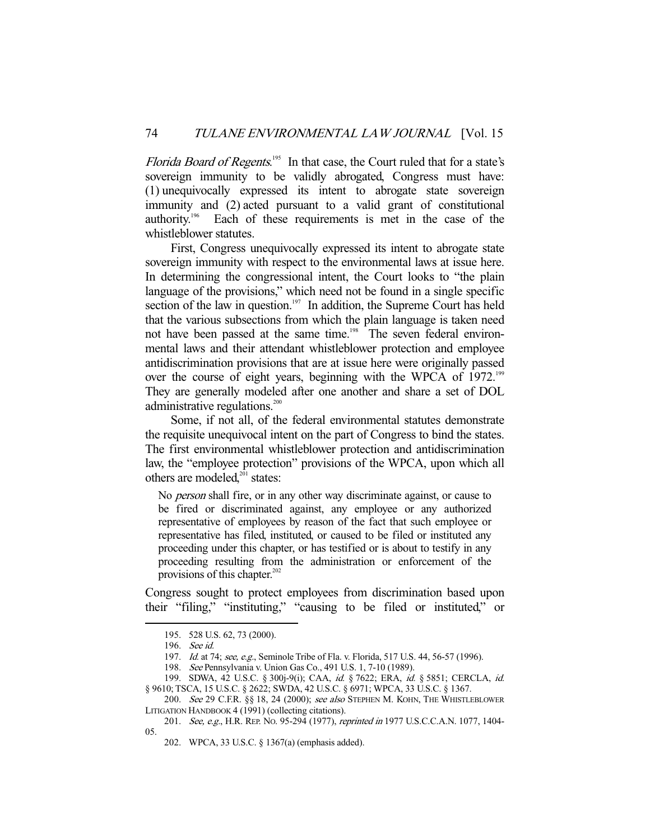Florida Board of Regents.<sup>195</sup> In that case, the Court ruled that for a state's sovereign immunity to be validly abrogated, Congress must have: (1) unequivocally expressed its intent to abrogate state sovereign immunity and (2) acted pursuant to a valid grant of constitutional authority.196 Each of these requirements is met in the case of the whistleblower statutes.

 First, Congress unequivocally expressed its intent to abrogate state sovereign immunity with respect to the environmental laws at issue here. In determining the congressional intent, the Court looks to "the plain language of the provisions," which need not be found in a single specific section of the law in question.<sup>197</sup> In addition, the Supreme Court has held that the various subsections from which the plain language is taken need not have been passed at the same time.<sup>198</sup> The seven federal environmental laws and their attendant whistleblower protection and employee antidiscrimination provisions that are at issue here were originally passed over the course of eight years, beginning with the WPCA of 1972.<sup>199</sup> They are generally modeled after one another and share a set of DOL administrative regulations.<sup>200</sup>

 Some, if not all, of the federal environmental statutes demonstrate the requisite unequivocal intent on the part of Congress to bind the states. The first environmental whistleblower protection and antidiscrimination law, the "employee protection" provisions of the WPCA, upon which all others are modeled,<sup>201</sup> states:

No person shall fire, or in any other way discriminate against, or cause to be fired or discriminated against, any employee or any authorized representative of employees by reason of the fact that such employee or representative has filed, instituted, or caused to be filed or instituted any proceeding under this chapter, or has testified or is about to testify in any proceeding resulting from the administration or enforcement of the provisions of this chapter. $202$ 

Congress sought to protect employees from discrimination based upon their "filing," "instituting," "causing to be filed or instituted," or

 <sup>195. 528</sup> U.S. 62, 73 (2000).

 <sup>196.</sup> See id.

<sup>197.</sup> Id. at 74; see, e.g., Seminole Tribe of Fla. v. Florida, 517 U.S. 44, 56-57 (1996).

 <sup>198.</sup> See Pennsylvania v. Union Gas Co., 491 U.S. 1, 7-10 (1989).

 <sup>199.</sup> SDWA, 42 U.S.C. § 300j-9(i); CAA, id. § 7622; ERA, id. § 5851; CERCLA, id. § 9610; TSCA, 15 U.S.C. § 2622; SWDA, 42 U.S.C. § 6971; WPCA, 33 U.S.C. § 1367.

<sup>200.</sup> See 29 C.F.R. §§ 18, 24 (2000); see also STEPHEN M. KOHN, THE WHISTLEBLOWER LITIGATION HANDBOOK 4 (1991) (collecting citations).

<sup>201.</sup> See, e.g., H.R. REP. No. 95-294 (1977), reprinted in 1977 U.S.C.C.A.N. 1077, 1404-05.

 <sup>202.</sup> WPCA, 33 U.S.C. § 1367(a) (emphasis added).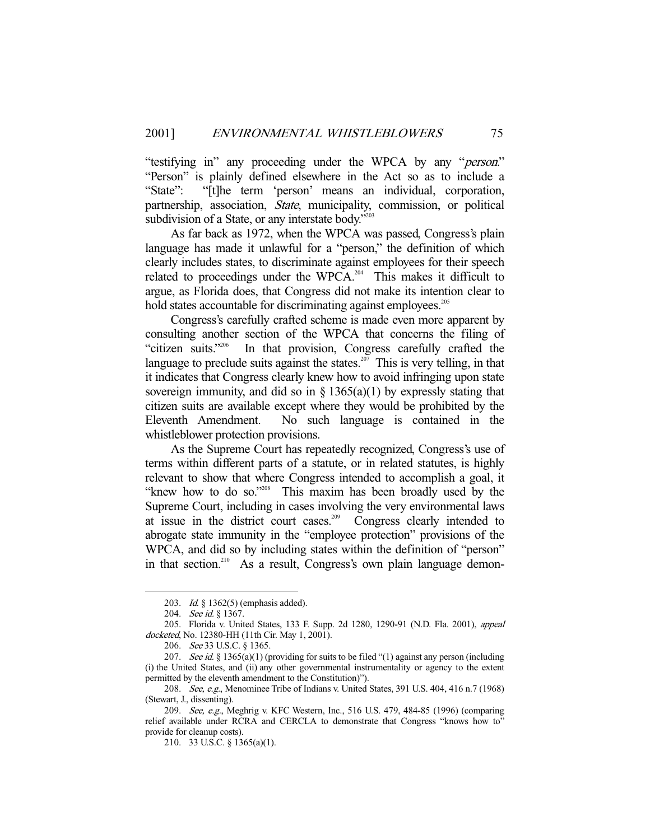"testifying in" any proceeding under the WPCA by any "person." "Person" is plainly defined elsewhere in the Act so as to include a "State": "[t]he term 'person' means an individual, corporation, partnership, association, State, municipality, commission, or political subdivision of a State, or any interstate body."203

 As far back as 1972, when the WPCA was passed, Congress's plain language has made it unlawful for a "person," the definition of which clearly includes states, to discriminate against employees for their speech related to proceedings under the WPCA.<sup>204</sup> This makes it difficult to argue, as Florida does, that Congress did not make its intention clear to hold states accountable for discriminating against employees.<sup>205</sup>

 Congress's carefully crafted scheme is made even more apparent by consulting another section of the WPCA that concerns the filing of "citizen suits."206 In that provision, Congress carefully crafted the language to preclude suits against the states.<sup>207</sup> This is very telling, in that it indicates that Congress clearly knew how to avoid infringing upon state sovereign immunity, and did so in  $\S$  1365(a)(1) by expressly stating that citizen suits are available except where they would be prohibited by the Eleventh Amendment. No such language is contained in the whistleblower protection provisions.

 As the Supreme Court has repeatedly recognized, Congress's use of terms within different parts of a statute, or in related statutes, is highly relevant to show that where Congress intended to accomplish a goal, it "knew how to do so."<sup>208</sup> This maxim has been broadly used by the Supreme Court, including in cases involving the very environmental laws at issue in the district court cases.209 Congress clearly intended to abrogate state immunity in the "employee protection" provisions of the WPCA, and did so by including states within the definition of "person" in that section.<sup>210</sup> As a result, Congress's own plain language demon-

 <sup>203.</sup> Id. § 1362(5) (emphasis added).

<sup>204.</sup> See id. § 1367.

 <sup>205.</sup> Florida v. United States, 133 F. Supp. 2d 1280, 1290-91 (N.D. Fla. 2001), appeal docketed, No. 12380-HH (11th Cir. May 1, 2001).

 <sup>206.</sup> See 33 U.S.C. § 1365.

<sup>207.</sup> See id. § 1365(a)(1) (providing for suits to be filed "(1) against any person (including (i) the United States, and (ii) any other governmental instrumentality or agency to the extent permitted by the eleventh amendment to the Constitution)").

<sup>208.</sup> See, e.g., Menominee Tribe of Indians v. United States, 391 U.S. 404, 416 n.7 (1968) (Stewart, J., dissenting).

<sup>209.</sup> See, e.g., Meghrig v. KFC Western, Inc., 516 U.S. 479, 484-85 (1996) (comparing relief available under RCRA and CERCLA to demonstrate that Congress "knows how to" provide for cleanup costs).

 <sup>210. 33</sup> U.S.C. § 1365(a)(1).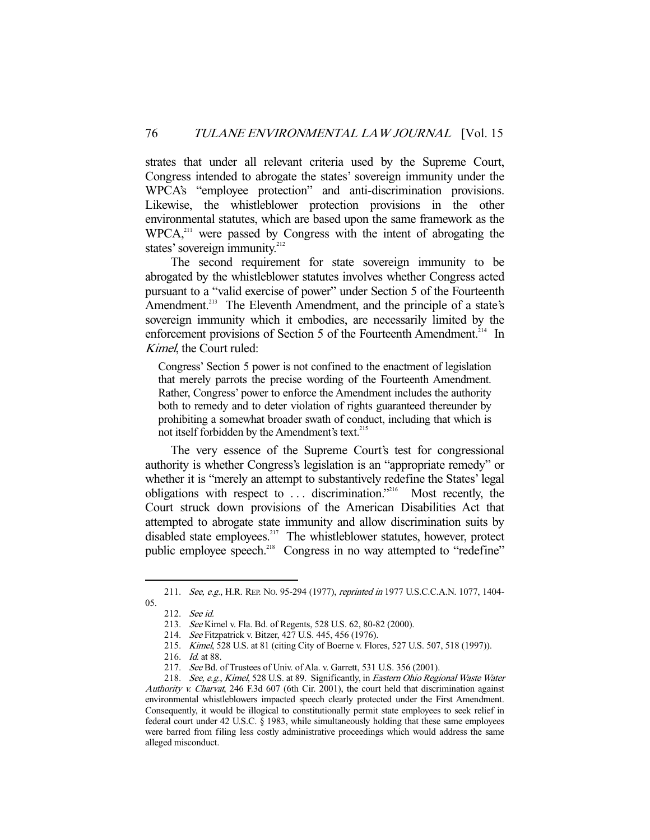strates that under all relevant criteria used by the Supreme Court, Congress intended to abrogate the states' sovereign immunity under the WPCA's "employee protection" and anti-discrimination provisions. Likewise, the whistleblower protection provisions in the other environmental statutes, which are based upon the same framework as the WPCA<sup>211</sup> were passed by Congress with the intent of abrogating the states' sovereign immunity. $212$ 

 The second requirement for state sovereign immunity to be abrogated by the whistleblower statutes involves whether Congress acted pursuant to a "valid exercise of power" under Section 5 of the Fourteenth Amendment.<sup>213</sup> The Eleventh Amendment, and the principle of a state's sovereign immunity which it embodies, are necessarily limited by the enforcement provisions of Section 5 of the Fourteenth Amendment.<sup>214</sup> In Kimel, the Court ruled:

Congress' Section 5 power is not confined to the enactment of legislation that merely parrots the precise wording of the Fourteenth Amendment. Rather, Congress' power to enforce the Amendment includes the authority both to remedy and to deter violation of rights guaranteed thereunder by prohibiting a somewhat broader swath of conduct, including that which is not itself forbidden by the Amendment's text.<sup>215</sup>

 The very essence of the Supreme Court's test for congressional authority is whether Congress's legislation is an "appropriate remedy" or whether it is "merely an attempt to substantively redefine the States' legal obligations with respect to  $\dots$  discrimination."<sup>216</sup> Most recently, the Court struck down provisions of the American Disabilities Act that attempted to abrogate state immunity and allow discrimination suits by disabled state employees.<sup>217</sup> The whistleblower statutes, however, protect public employee speech.<sup>218</sup> Congress in no way attempted to "redefine"

<sup>211.</sup> See, e.g., H.R. REP. No. 95-294 (1977), reprinted in 1977 U.S.C.C.A.N. 1077, 1404-05.

 <sup>212.</sup> See id.

 <sup>213.</sup> See Kimel v. Fla. Bd. of Regents, 528 U.S. 62, 80-82 (2000).

 <sup>214.</sup> See Fitzpatrick v. Bitzer, 427 U.S. 445, 456 (1976).

 <sup>215.</sup> Kimel, 528 U.S. at 81 (citing City of Boerne v. Flores, 527 U.S. 507, 518 (1997)).

 <sup>216.</sup> Id. at 88.

<sup>217.</sup> See Bd. of Trustees of Univ. of Ala. v. Garrett, 531 U.S. 356 (2001).

<sup>218.</sup> See, e.g., Kimel, 528 U.S. at 89. Significantly, in Eastern Ohio Regional Waste Water Authority v. Charvat, 246 F.3d 607 (6th Cir. 2001), the court held that discrimination against environmental whistleblowers impacted speech clearly protected under the First Amendment. Consequently, it would be illogical to constitutionally permit state employees to seek relief in federal court under 42 U.S.C. § 1983, while simultaneously holding that these same employees were barred from filing less costly administrative proceedings which would address the same alleged misconduct.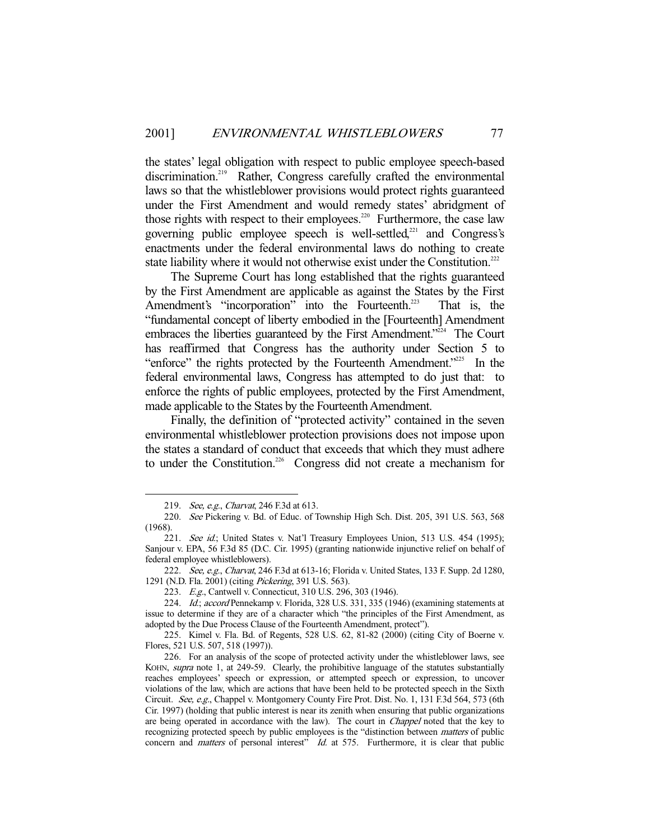the states' legal obligation with respect to public employee speech-based discrimination.<sup>219</sup> Rather, Congress carefully crafted the environmental laws so that the whistleblower provisions would protect rights guaranteed under the First Amendment and would remedy states' abridgment of those rights with respect to their employees.<sup>220</sup> Furthermore, the case law governing public employee speech is well-settled,<sup>221</sup> and Congress's enactments under the federal environmental laws do nothing to create state liability where it would not otherwise exist under the Constitution.<sup>222</sup>

 The Supreme Court has long established that the rights guaranteed by the First Amendment are applicable as against the States by the First Amendment's "incorporation" into the Fourteenth.<sup>223</sup> That is, the "fundamental concept of liberty embodied in the [Fourteenth] Amendment embraces the liberties guaranteed by the First Amendment.<sup>"224</sup> The Court has reaffirmed that Congress has the authority under Section 5 to "enforce" the rights protected by the Fourteenth Amendment."225 In the federal environmental laws, Congress has attempted to do just that: to enforce the rights of public employees, protected by the First Amendment, made applicable to the States by the Fourteenth Amendment.

 Finally, the definition of "protected activity" contained in the seven environmental whistleblower protection provisions does not impose upon the states a standard of conduct that exceeds that which they must adhere to under the Constitution.<sup>226</sup> Congress did not create a mechanism for

<sup>219.</sup> *See, e.g., Charvat*, 246 F.3d at 613.

 <sup>220.</sup> See Pickering v. Bd. of Educ. of Township High Sch. Dist. 205, 391 U.S. 563, 568 (1968).

<sup>221.</sup> See id.; United States v. Nat'l Treasury Employees Union, 513 U.S. 454 (1995); Sanjour v. EPA, 56 F.3d 85 (D.C. Cir. 1995) (granting nationwide injunctive relief on behalf of federal employee whistleblowers).

<sup>222.</sup> See, e.g., Charvat, 246 F.3d at 613-16; Florida v. United States, 133 F. Supp. 2d 1280, 1291 (N.D. Fla. 2001) (citing Pickering, 391 U.S. 563).

 <sup>223.</sup> E.g., Cantwell v. Connecticut, 310 U.S. 296, 303 (1946).

<sup>224.</sup> Id.; accord Pennekamp v. Florida, 328 U.S. 331, 335 (1946) (examining statements at issue to determine if they are of a character which "the principles of the First Amendment, as adopted by the Due Process Clause of the Fourteenth Amendment, protect").

 <sup>225.</sup> Kimel v. Fla. Bd. of Regents, 528 U.S. 62, 81-82 (2000) (citing City of Boerne v. Flores, 521 U.S. 507, 518 (1997)).

 <sup>226.</sup> For an analysis of the scope of protected activity under the whistleblower laws, see KOHN, supra note 1, at 249-59. Clearly, the prohibitive language of the statutes substantially reaches employees' speech or expression, or attempted speech or expression, to uncover violations of the law, which are actions that have been held to be protected speech in the Sixth Circuit. See, e.g., Chappel v. Montgomery County Fire Prot. Dist. No. 1, 131 F.3d 564, 573 (6th Cir. 1997) (holding that public interest is near its zenith when ensuring that public organizations are being operated in accordance with the law). The court in *Chappel* noted that the key to recognizing protected speech by public employees is the "distinction between *matters* of public concern and *matters* of personal interest" Id. at 575. Furthermore, it is clear that public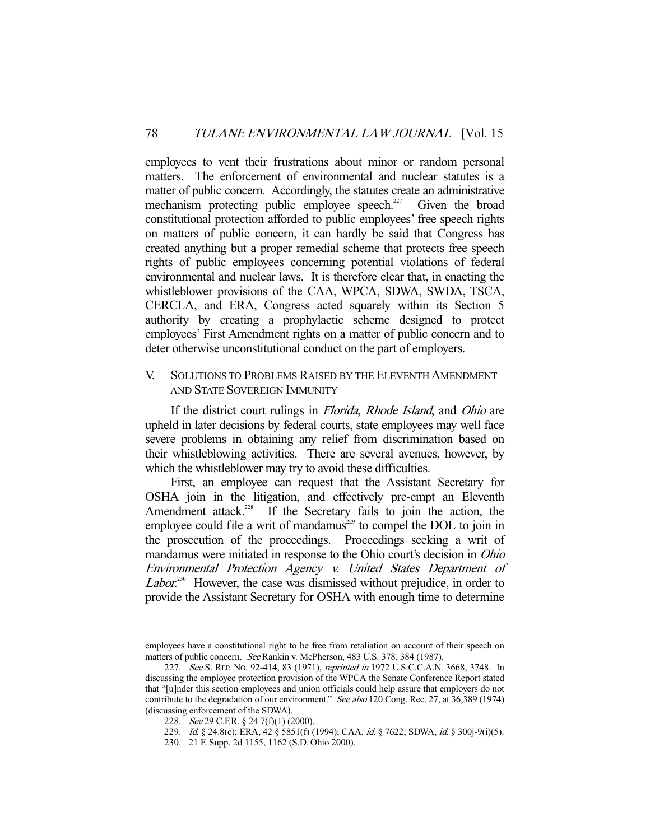employees to vent their frustrations about minor or random personal matters. The enforcement of environmental and nuclear statutes is a matter of public concern. Accordingly, the statutes create an administrative mechanism protecting public employee speech.<sup>227</sup> Given the broad constitutional protection afforded to public employees' free speech rights on matters of public concern, it can hardly be said that Congress has created anything but a proper remedial scheme that protects free speech rights of public employees concerning potential violations of federal environmental and nuclear laws. It is therefore clear that, in enacting the whistleblower provisions of the CAA, WPCA, SDWA, SWDA, TSCA, CERCLA, and ERA, Congress acted squarely within its Section 5 authority by creating a prophylactic scheme designed to protect employees' First Amendment rights on a matter of public concern and to deter otherwise unconstitutional conduct on the part of employers.

## V. SOLUTIONS TO PROBLEMS RAISED BY THE ELEVENTH AMENDMENT AND STATE SOVEREIGN IMMUNITY

If the district court rulings in *Florida*, *Rhode Island*, and *Ohio* are upheld in later decisions by federal courts, state employees may well face severe problems in obtaining any relief from discrimination based on their whistleblowing activities. There are several avenues, however, by which the whistleblower may try to avoid these difficulties.

 First, an employee can request that the Assistant Secretary for OSHA join in the litigation, and effectively pre-empt an Eleventh Amendment attack.<sup>228</sup> If the Secretary fails to join the action, the employee could file a writ of mandamus<sup>229</sup> to compel the DOL to join in the prosecution of the proceedings. Proceedings seeking a writ of mandamus were initiated in response to the Ohio court's decision in Ohio Environmental Protection Agency v. United States Department of Labor.<sup>230</sup> However, the case was dismissed without prejudice, in order to provide the Assistant Secretary for OSHA with enough time to determine

employees have a constitutional right to be free from retaliation on account of their speech on matters of public concern. See Rankin v. McPherson, 483 U.S. 378, 384 (1987).

<sup>227.</sup> See S. REP. No. 92-414, 83 (1971), reprinted in 1972 U.S.C.C.A.N. 3668, 3748. In discussing the employee protection provision of the WPCA the Senate Conference Report stated that "[u]nder this section employees and union officials could help assure that employers do not contribute to the degradation of our environment." See also 120 Cong. Rec. 27, at 36,389 (1974) (discussing enforcement of the SDWA).

<sup>228.</sup> See 29 C.F.R. § 24.7(f)(1) (2000).

<sup>229.</sup> Id. § 24.8(c); ERA, 42 § 5851(f) (1994); CAA, id. § 7622; SDWA, id. § 300j-9(i)(5).

 <sup>230. 21</sup> F. Supp. 2d 1155, 1162 (S.D. Ohio 2000).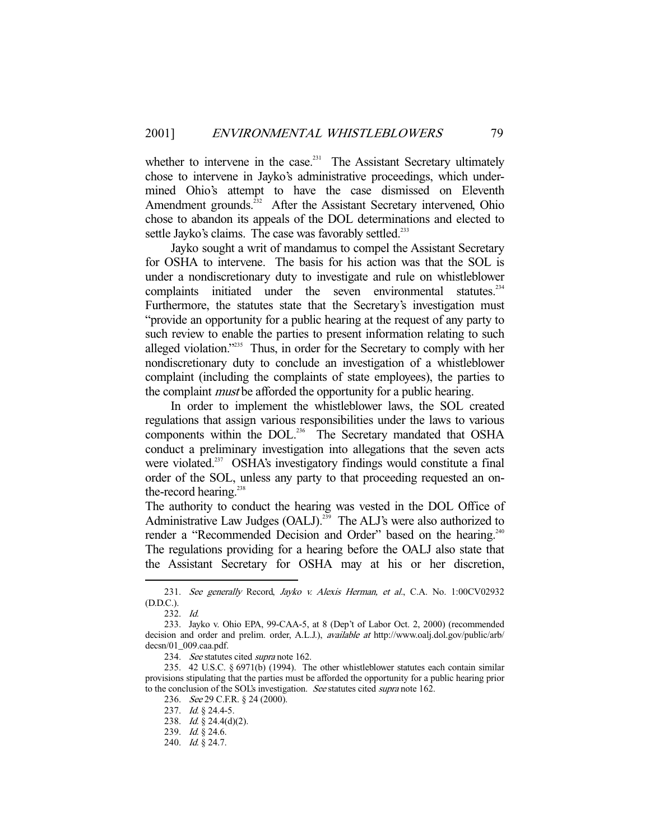whether to intervene in the case.<sup>231</sup> The Assistant Secretary ultimately chose to intervene in Jayko's administrative proceedings, which undermined Ohio's attempt to have the case dismissed on Eleventh Amendment grounds.<sup>232</sup> After the Assistant Secretary intervened, Ohio chose to abandon its appeals of the DOL determinations and elected to settle Jayko's claims. The case was favorably settled.<sup>233</sup>

 Jayko sought a writ of mandamus to compel the Assistant Secretary for OSHA to intervene. The basis for his action was that the SOL is under a nondiscretionary duty to investigate and rule on whistleblower complaints initiated under the seven environmental statutes.<sup>234</sup> Furthermore, the statutes state that the Secretary's investigation must "provide an opportunity for a public hearing at the request of any party to such review to enable the parties to present information relating to such alleged violation."<sup>235</sup> Thus, in order for the Secretary to comply with her nondiscretionary duty to conclude an investigation of a whistleblower complaint (including the complaints of state employees), the parties to the complaint *must* be afforded the opportunity for a public hearing.

 In order to implement the whistleblower laws, the SOL created regulations that assign various responsibilities under the laws to various components within the DOL.<sup>236</sup> The Secretary mandated that OSHA conduct a preliminary investigation into allegations that the seven acts were violated.<sup>237</sup> OSHA's investigatory findings would constitute a final order of the SOL, unless any party to that proceeding requested an onthe-record hearing.<sup>238</sup>

The authority to conduct the hearing was vested in the DOL Office of Administrative Law Judges (OALJ).<sup>239</sup> The ALJ's were also authorized to render a "Recommended Decision and Order" based on the hearing.<sup>240</sup> The regulations providing for a hearing before the OALJ also state that the Assistant Secretary for OSHA may at his or her discretion,

-

234. See statutes cited supra note 162.

<sup>231.</sup> See generally Record, Jayko v. Alexis Herman, et al., C.A. No. 1:00CV02932 (D.D.C.).

 <sup>232.</sup> Id.

 <sup>233.</sup> Jayko v. Ohio EPA, 99-CAA-5, at 8 (Dep't of Labor Oct. 2, 2000) (recommended decision and order and prelim. order, A.L.J.), *available at* http://www.oalj.dol.gov/public/arb/ decsn/01\_009.caa.pdf.

 <sup>235. 42</sup> U.S.C. § 6971(b) (1994). The other whistleblower statutes each contain similar provisions stipulating that the parties must be afforded the opportunity for a public hearing prior to the conclusion of the SOL's investigation. See statutes cited supra note 162.

<sup>236.</sup> See 29 C.F.R. § 24 (2000).

 <sup>237.</sup> Id. § 24.4-5.

 <sup>238.</sup> Id. § 24.4(d)(2).

 <sup>239.</sup> Id. § 24.6.

 <sup>240.</sup> Id. § 24.7.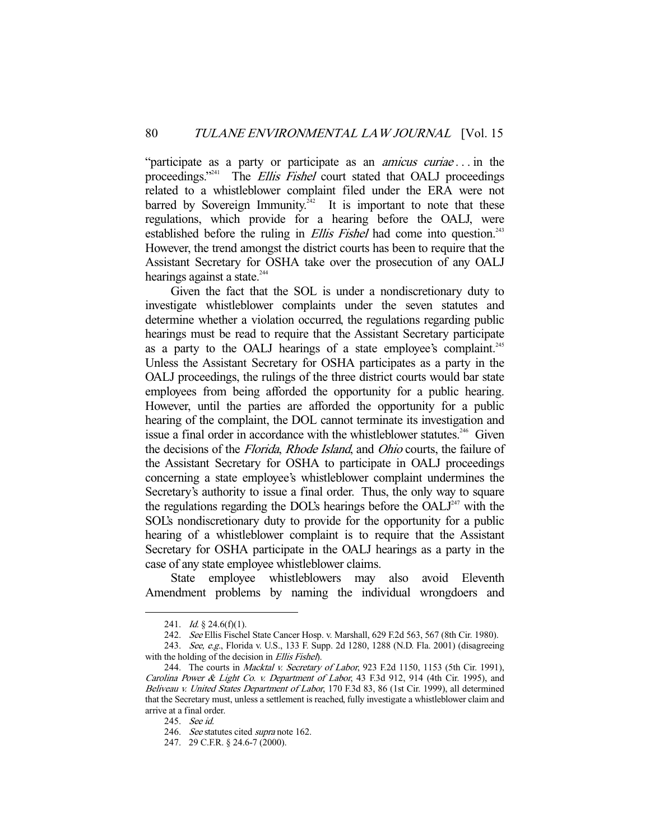"participate as a party or participate as an *amicus curiae*... in the proceedings."<sup>241</sup> The *Ellis Fishel* court stated that OALJ proceedings related to a whistleblower complaint filed under the ERA were not barred by Sovereign Immunity.<sup>242</sup> It is important to note that these regulations, which provide for a hearing before the OALJ, were established before the ruling in *Ellis Fishel* had come into question.<sup>243</sup> However, the trend amongst the district courts has been to require that the Assistant Secretary for OSHA take over the prosecution of any OALJ hearings against a state.<sup>244</sup>

 Given the fact that the SOL is under a nondiscretionary duty to investigate whistleblower complaints under the seven statutes and determine whether a violation occurred, the regulations regarding public hearings must be read to require that the Assistant Secretary participate as a party to the OALJ hearings of a state employee's complaint.<sup>245</sup> Unless the Assistant Secretary for OSHA participates as a party in the OALJ proceedings, the rulings of the three district courts would bar state employees from being afforded the opportunity for a public hearing. However, until the parties are afforded the opportunity for a public hearing of the complaint, the DOL cannot terminate its investigation and issue a final order in accordance with the whistleblower statutes.<sup>246</sup> Given the decisions of the Florida, Rhode Island, and Ohio courts, the failure of the Assistant Secretary for OSHA to participate in OALJ proceedings concerning a state employee's whistleblower complaint undermines the Secretary's authority to issue a final order. Thus, the only way to square the regulations regarding the DOL's hearings before the  $OALJ<sup>247</sup>$  with the SOL's nondiscretionary duty to provide for the opportunity for a public hearing of a whistleblower complaint is to require that the Assistant Secretary for OSHA participate in the OALJ hearings as a party in the case of any state employee whistleblower claims.

 State employee whistleblowers may also avoid Eleventh Amendment problems by naming the individual wrongdoers and

<sup>241.</sup> *Id.* § 24.6(f)(1).

 <sup>242.</sup> See Ellis Fischel State Cancer Hosp. v. Marshall, 629 F.2d 563, 567 (8th Cir. 1980).

<sup>243.</sup> See, e.g., Florida v. U.S., 133 F. Supp. 2d 1280, 1288 (N.D. Fla. 2001) (disagreeing with the holding of the decision in *Ellis Fishel*).

<sup>244.</sup> The courts in *Macktal v. Secretary of Labor*, 923 F.2d 1150, 1153 (5th Cir. 1991), Carolina Power & Light Co. v. Department of Labor, 43 F.3d 912, 914 (4th Cir. 1995), and Beliveau v. United States Department of Labor, 170 F.3d 83, 86 (1st Cir. 1999), all determined that the Secretary must, unless a settlement is reached, fully investigate a whistleblower claim and arrive at a final order.

 <sup>245.</sup> See id.

<sup>246.</sup> See statutes cited supra note 162.

 <sup>247. 29</sup> C.F.R. § 24.6-7 (2000).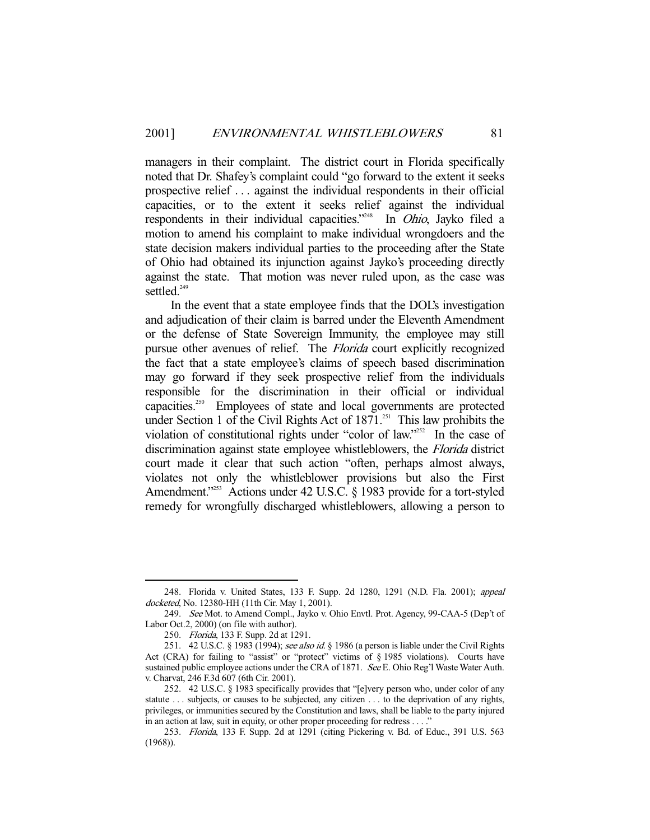managers in their complaint. The district court in Florida specifically noted that Dr. Shafey's complaint could "go forward to the extent it seeks prospective relief . . . against the individual respondents in their official capacities, or to the extent it seeks relief against the individual respondents in their individual capacities."<sup>248</sup> In Ohio, Jayko filed a motion to amend his complaint to make individual wrongdoers and the state decision makers individual parties to the proceeding after the State of Ohio had obtained its injunction against Jayko's proceeding directly against the state. That motion was never ruled upon, as the case was settled.<sup>249</sup>

 In the event that a state employee finds that the DOL's investigation and adjudication of their claim is barred under the Eleventh Amendment or the defense of State Sovereign Immunity, the employee may still pursue other avenues of relief. The *Florida* court explicitly recognized the fact that a state employee's claims of speech based discrimination may go forward if they seek prospective relief from the individuals responsible for the discrimination in their official or individual capacities.250 Employees of state and local governments are protected under Section 1 of the Civil Rights Act of  $1871$ <sup>251</sup>. This law prohibits the violation of constitutional rights under "color of law."<sup>252</sup> In the case of discrimination against state employee whistleblowers, the Florida district court made it clear that such action "often, perhaps almost always, violates not only the whistleblower provisions but also the First Amendment."<sup>253</sup> Actions under 42 U.S.C. § 1983 provide for a tort-styled remedy for wrongfully discharged whistleblowers, allowing a person to

 <sup>248.</sup> Florida v. United States, 133 F. Supp. 2d 1280, 1291 (N.D. Fla. 2001); appeal docketed, No. 12380-HH (11th Cir. May 1, 2001).

 <sup>249.</sup> See Mot. to Amend Compl., Jayko v. Ohio Envtl. Prot. Agency, 99-CAA-5 (Dep't of Labor Oct.2, 2000) (on file with author).

 <sup>250.</sup> Florida, 133 F. Supp. 2d at 1291.

<sup>251. 42</sup> U.S.C. § 1983 (1994); see also id. § 1986 (a person is liable under the Civil Rights Act (CRA) for failing to "assist" or "protect" victims of § 1985 violations). Courts have sustained public employee actions under the CRA of 1871. See E. Ohio Reg'l Waste Water Auth. v. Charvat, 246 F.3d 607 (6th Cir. 2001).

 <sup>252. 42</sup> U.S.C. § 1983 specifically provides that "[e]very person who, under color of any statute ... subjects, or causes to be subjected, any citizen ... to the deprivation of any rights, privileges, or immunities secured by the Constitution and laws, shall be liable to the party injured in an action at law, suit in equity, or other proper proceeding for redress . . . ."

 <sup>253.</sup> Florida, 133 F. Supp. 2d at 1291 (citing Pickering v. Bd. of Educ., 391 U.S. 563 (1968)).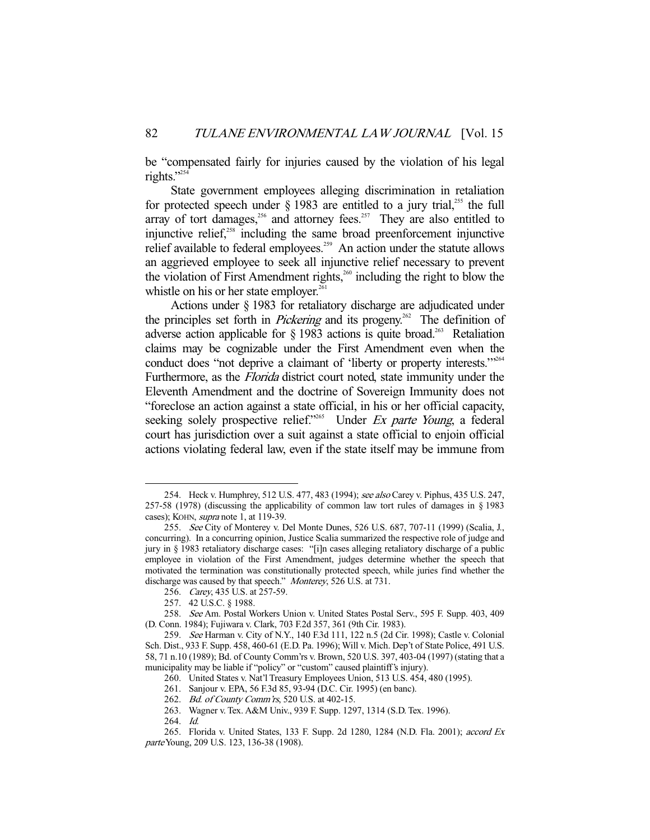be "compensated fairly for injuries caused by the violation of his legal rights."

 State government employees alleging discrimination in retaliation for protected speech under  $\S$  1983 are entitled to a jury trial,<sup>255</sup> the full array of tort damages,<sup>256</sup> and attorney fees.<sup>257</sup> They are also entitled to injunctive relief.<sup>258</sup> including the same broad preenforcement injunctive relief available to federal employees.<sup>259</sup> An action under the statute allows an aggrieved employee to seek all injunctive relief necessary to prevent the violation of First Amendment rights, $260$  including the right to blow the whistle on his or her state employer.<sup>261</sup>

 Actions under § 1983 for retaliatory discharge are adjudicated under the principles set forth in *Pickering* and its progeny.<sup>262</sup> The definition of adverse action applicable for  $\S$  1983 actions is quite broad.<sup>263</sup> Retaliation claims may be cognizable under the First Amendment even when the conduct does "not deprive a claimant of 'liberty or property interests."<sup>264</sup> Furthermore, as the *Florida* district court noted, state immunity under the Eleventh Amendment and the doctrine of Sovereign Immunity does not "foreclose an action against a state official, in his or her official capacity, seeking solely prospective relief."<sup>265</sup> Under Ex parte Young, a federal court has jurisdiction over a suit against a state official to enjoin official actions violating federal law, even if the state itself may be immune from

<sup>254.</sup> Heck v. Humphrey, 512 U.S. 477, 483 (1994); see also Carey v. Piphus, 435 U.S. 247, 257-58 (1978) (discussing the applicability of common law tort rules of damages in § 1983 cases); KOHN, *supra* note 1, at 119-39.

 <sup>255.</sup> See City of Monterey v. Del Monte Dunes, 526 U.S. 687, 707-11 (1999) (Scalia, J., concurring). In a concurring opinion, Justice Scalia summarized the respective role of judge and jury in § 1983 retaliatory discharge cases: "[i]n cases alleging retaliatory discharge of a public employee in violation of the First Amendment, judges determine whether the speech that motivated the termination was constitutionally protected speech, while juries find whether the discharge was caused by that speech." Monterey, 526 U.S. at 731.

 <sup>256.</sup> Carey, 435 U.S. at 257-59.

 <sup>257. 42</sup> U.S.C. § 1988.

 <sup>258.</sup> See Am. Postal Workers Union v. United States Postal Serv., 595 F. Supp. 403, 409 (D. Conn. 1984); Fujiwara v. Clark, 703 F.2d 357, 361 (9th Cir. 1983).

 <sup>259.</sup> See Harman v. City of N.Y., 140 F.3d 111, 122 n.5 (2d Cir. 1998); Castle v. Colonial Sch. Dist., 933 F. Supp. 458, 460-61 (E.D. Pa. 1996); Will v. Mich. Dep't of State Police, 491 U.S. 58, 71 n.10 (1989); Bd. of County Comm'rs v. Brown, 520 U.S. 397, 403-04 (1997) (stating that a municipality may be liable if "policy" or "custom" caused plaintiff's injury).

 <sup>260.</sup> United States v. Nat'l Treasury Employees Union, 513 U.S. 454, 480 (1995).

 <sup>261.</sup> Sanjour v. EPA, 56 F.3d 85, 93-94 (D.C. Cir. 1995) (en banc).

<sup>262.</sup> Bd. of County Comm'rs, 520 U.S. at 402-15.

 <sup>263.</sup> Wagner v. Tex. A&M Univ., 939 F. Supp. 1297, 1314 (S.D. Tex. 1996).

 <sup>264.</sup> Id.

 <sup>265.</sup> Florida v. United States, 133 F. Supp. 2d 1280, 1284 (N.D. Fla. 2001); accord Ex parte Young, 209 U.S. 123, 136-38 (1908).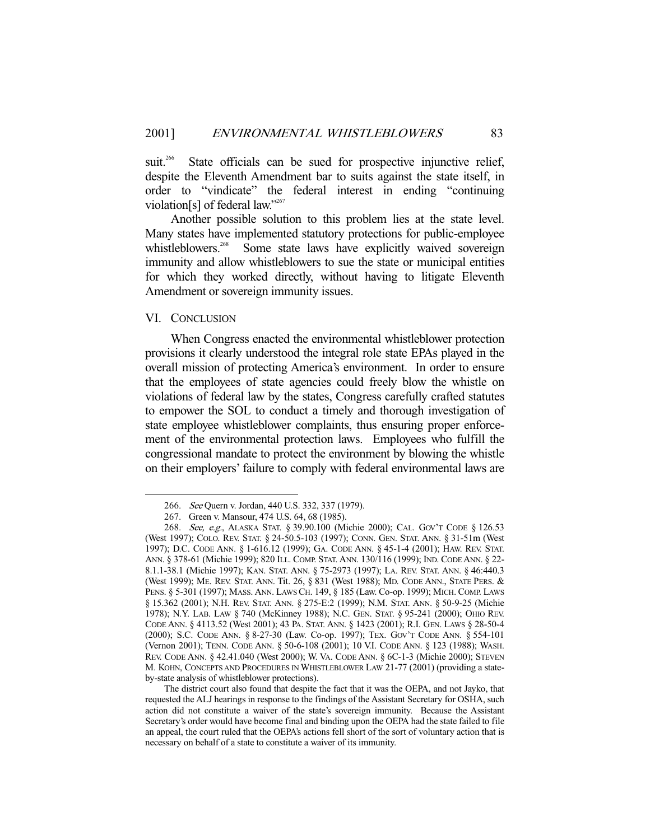suit.<sup>266</sup> State officials can be sued for prospective injunctive relief, despite the Eleventh Amendment bar to suits against the state itself, in order to "vindicate" the federal interest in ending "continuing violation[s] of federal law."<sup>267</sup>

 Another possible solution to this problem lies at the state level. Many states have implemented statutory protections for public-employee whistleblowers.<sup>268</sup> Some state laws have explicitly waived sovereign immunity and allow whistleblowers to sue the state or municipal entities for which they worked directly, without having to litigate Eleventh Amendment or sovereign immunity issues.

#### VI. CONCLUSION

-

 When Congress enacted the environmental whistleblower protection provisions it clearly understood the integral role state EPAs played in the overall mission of protecting America's environment. In order to ensure that the employees of state agencies could freely blow the whistle on violations of federal law by the states, Congress carefully crafted statutes to empower the SOL to conduct a timely and thorough investigation of state employee whistleblower complaints, thus ensuring proper enforcement of the environmental protection laws. Employees who fulfill the congressional mandate to protect the environment by blowing the whistle on their employers' failure to comply with federal environmental laws are

 <sup>266.</sup> See Quern v. Jordan, 440 U.S. 332, 337 (1979).

 <sup>267.</sup> Green v. Mansour, 474 U.S. 64, 68 (1985).

 <sup>268.</sup> See, e.g., ALASKA STAT. § 39.90.100 (Michie 2000); CAL. GOV'T CODE § 126.53 (West 1997); COLO. REV. STAT. § 24-50.5-103 (1997); CONN. GEN. STAT. ANN. § 31-51m (West 1997); D.C. CODE ANN. § 1-616.12 (1999); GA. CODE ANN. § 45-1-4 (2001); HAW. REV. STAT. ANN. § 378-61 (Michie 1999); 820 ILL. COMP. STAT. ANN. 130/116 (1999); IND. CODE ANN. § 22- 8.1.1-38.1 (Michie 1997); KAN. STAT. ANN. § 75-2973 (1997); LA. REV. STAT. ANN. § 46:440.3 (West 1999); ME. REV. STAT. ANN. Tit. 26, § 831 (West 1988); MD. CODE ANN., STATE PERS. & PENS. § 5-301 (1997); MASS. ANN. LAWS CH. 149, § 185 (Law. Co-op. 1999); MICH. COMP. LAWS § 15.362 (2001); N.H. REV. STAT. ANN. § 275-E:2 (1999); N.M. STAT. ANN. § 50-9-25 (Michie 1978); N.Y. LAB. LAW § 740 (McKinney 1988); N.C. GEN. STAT. § 95-241 (2000); OHIO REV. CODE ANN. § 4113.52 (West 2001); 43 PA. STAT. ANN. § 1423 (2001); R.I. GEN. LAWS § 28-50-4 (2000); S.C. CODE ANN. § 8-27-30 (Law. Co-op. 1997); TEX. GOV'T CODE ANN. § 554-101 (Vernon 2001); TENN. CODE ANN. § 50-6-108 (2001); 10 V.I. CODE ANN. § 123 (1988); WASH. REV. CODE ANN. § 42.41.040 (West 2000); W. VA. CODE ANN. § 6C-1-3 (Michie 2000); STEVEN M. KOHN, CONCEPTS AND PROCEDURES IN WHISTLEBLOWER LAW 21-77 (2001) (providing a stateby-state analysis of whistleblower protections).

The district court also found that despite the fact that it was the OEPA, and not Jayko, that requested the ALJ hearings in response to the findings of the Assistant Secretary for OSHA, such action did not constitute a waiver of the state's sovereign immunity. Because the Assistant Secretary's order would have become final and binding upon the OEPA had the state failed to file an appeal, the court ruled that the OEPA's actions fell short of the sort of voluntary action that is necessary on behalf of a state to constitute a waiver of its immunity.